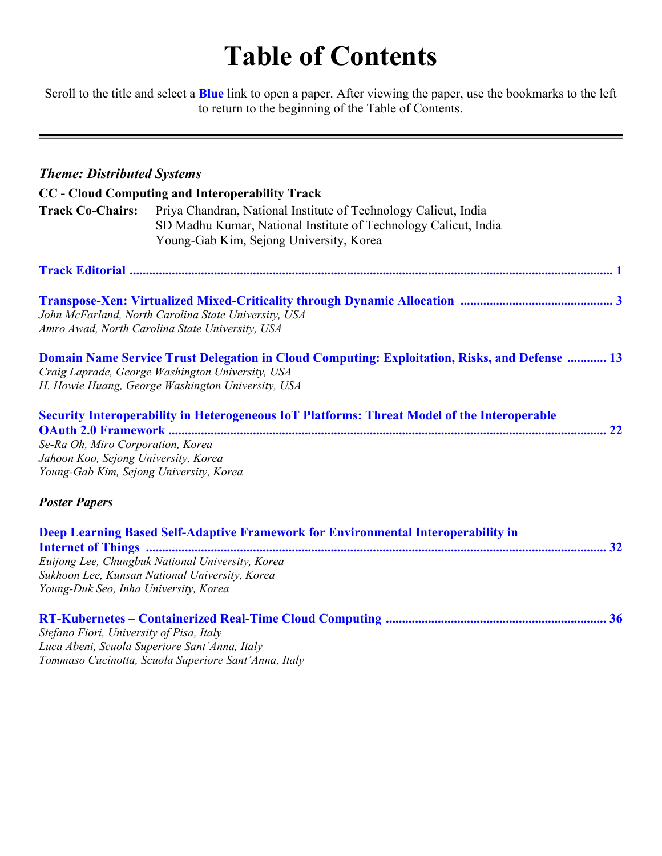# **Table of Contents**

Scroll to the title and select a **Blue** link to open a paper. After viewing the paper, use the bookmarks to the left to return to the beginning of the Table of Contents.

| <b>Theme: Distributed Systems</b>        |                                                                                                      |
|------------------------------------------|------------------------------------------------------------------------------------------------------|
|                                          | CC - Cloud Computing and Interoperability Track                                                      |
| <b>Track Co-Chairs:</b>                  | Priya Chandran, National Institute of Technology Calicut, India                                      |
|                                          | SD Madhu Kumar, National Institute of Technology Calicut, India                                      |
|                                          | Young-Gab Kim, Sejong University, Korea                                                              |
|                                          |                                                                                                      |
|                                          |                                                                                                      |
|                                          |                                                                                                      |
|                                          | John McFarland, North Carolina State University, USA                                                 |
|                                          | Amro Awad, North Carolina State University, USA                                                      |
|                                          | <b>Domain Name Service Trust Delegation in Cloud Computing: Exploitation, Risks, and Defense  13</b> |
|                                          | Craig Laprade, George Washington University, USA                                                     |
|                                          | H. Howie Huang, George Washington University, USA                                                    |
|                                          | <b>Security Interoperability in Heterogeneous IoT Platforms: Threat Model of the Interoperable</b>   |
|                                          |                                                                                                      |
| Se-Ra Oh, Miro Corporation, Korea        |                                                                                                      |
| Jahoon Koo, Sejong University, Korea     |                                                                                                      |
| Young-Gab Kim, Sejong University, Korea  |                                                                                                      |
| <b>Poster Papers</b>                     |                                                                                                      |
|                                          | Deep Learning Based Self-Adaptive Framework for Environmental Interoperability in                    |
|                                          |                                                                                                      |
|                                          | Euijong Lee, Chungbuk National University, Korea                                                     |
|                                          | Sukhoon Lee, Kunsan National University, Korea                                                       |
| Young-Duk Seo, Inha University, Korea    |                                                                                                      |
|                                          |                                                                                                      |
| Stefano Fiori, University of Pisa, Italy |                                                                                                      |
|                                          | Luca Abeni, Scuola Superiore Sant'Anna, Italy                                                        |

*Tommaso Cucinotta, Scuola Superiore Sant'Anna, Italy*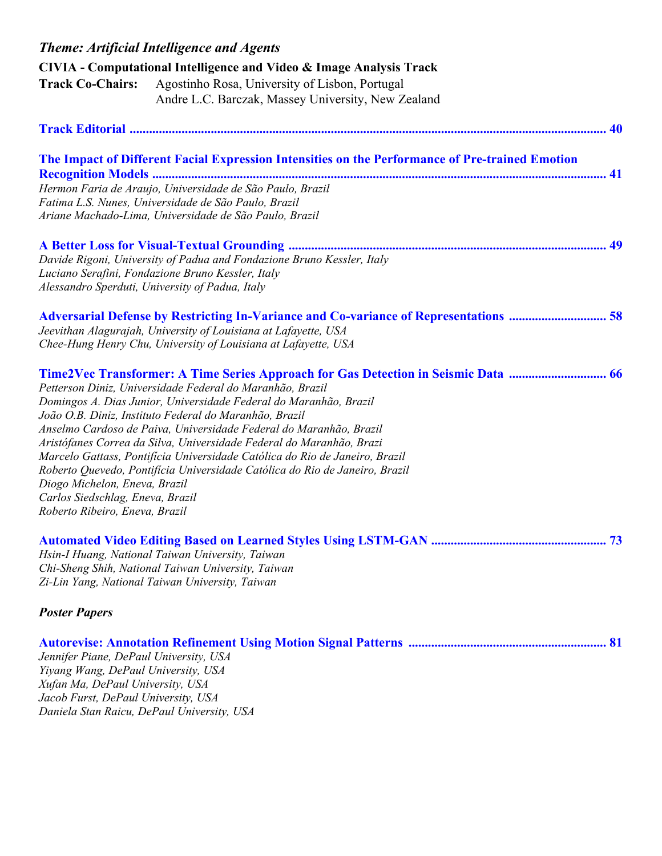|                                                                         | <b>Theme: Artificial Intelligence and Agents</b>                                                                                           |  |
|-------------------------------------------------------------------------|--------------------------------------------------------------------------------------------------------------------------------------------|--|
|                                                                         | CIVIA - Computational Intelligence and Video & Image Analysis Track                                                                        |  |
| <b>Track Co-Chairs:</b>                                                 | Agostinho Rosa, University of Lisbon, Portugal<br>Andre L.C. Barczak, Massey University, New Zealand                                       |  |
|                                                                         |                                                                                                                                            |  |
|                                                                         | The Impact of Different Facial Expression Intensities on the Performance of Pre-trained Emotion                                            |  |
|                                                                         | Hermon Faria de Araujo, Universidade de São Paulo, Brazil                                                                                  |  |
|                                                                         | Fatima L.S. Nunes, Universidade de São Paulo, Brazil                                                                                       |  |
|                                                                         | Ariane Machado-Lima, Universidade de São Paulo, Brazil                                                                                     |  |
|                                                                         |                                                                                                                                            |  |
|                                                                         | Davide Rigoni, University of Padua and Fondazione Bruno Kessler, Italy                                                                     |  |
|                                                                         | Luciano Serafini, Fondazione Bruno Kessler, Italy                                                                                          |  |
| Alessandro Sperduti, University of Padua, Italy                         |                                                                                                                                            |  |
|                                                                         | Adversarial Defense by Restricting In-Variance and Co-variance of Representations  58                                                      |  |
|                                                                         | Jeevithan Alagurajah, University of Louisiana at Lafayette, USA                                                                            |  |
|                                                                         | Chee-Hung Henry Chu, University of Louisiana at Lafayette, USA                                                                             |  |
|                                                                         | Time2Vec Transformer: A Time Series Approach for Gas Detection in Seismic Data  66                                                         |  |
|                                                                         | Petterson Diniz, Universidade Federal do Maranhão, Brazil                                                                                  |  |
|                                                                         | Domingos A. Dias Junior, Universidade Federal do Maranhão, Brazil                                                                          |  |
|                                                                         | João O.B. Diniz, Instituto Federal do Maranhão, Brazil                                                                                     |  |
|                                                                         | Anselmo Cardoso de Paiva, Universidade Federal do Maranhão, Brazil<br>Aristófanes Correa da Silva, Universidade Federal do Maranhão, Brazi |  |
|                                                                         | Marcelo Gattass, Pontificia Universidade Católica do Rio de Janeiro, Brazil                                                                |  |
|                                                                         | Roberto Quevedo, Pontifícia Universidade Católica do Rio de Janeiro, Brazil                                                                |  |
| Diogo Michelon, Eneva, Brazil                                           |                                                                                                                                            |  |
| Carlos Siedschlag, Eneva, Brazil<br>Roberto Ribeiro, Eneva, Brazil      |                                                                                                                                            |  |
|                                                                         |                                                                                                                                            |  |
|                                                                         |                                                                                                                                            |  |
|                                                                         | Hsin-I Huang, National Taiwan University, Taiwan                                                                                           |  |
|                                                                         | Chi-Sheng Shih, National Taiwan University, Taiwan<br>Zi-Lin Yang, National Taiwan University, Taiwan                                      |  |
|                                                                         |                                                                                                                                            |  |
| <b>Poster Papers</b>                                                    |                                                                                                                                            |  |
|                                                                         |                                                                                                                                            |  |
| Jennifer Piane, DePaul University, USA                                  |                                                                                                                                            |  |
| Yiyang Wang, DePaul University, USA                                     |                                                                                                                                            |  |
| Xufan Ma, DePaul University, USA<br>Jacob Furst, DePaul University, USA |                                                                                                                                            |  |
| Daniela Stan Raicu, DePaul University, USA                              |                                                                                                                                            |  |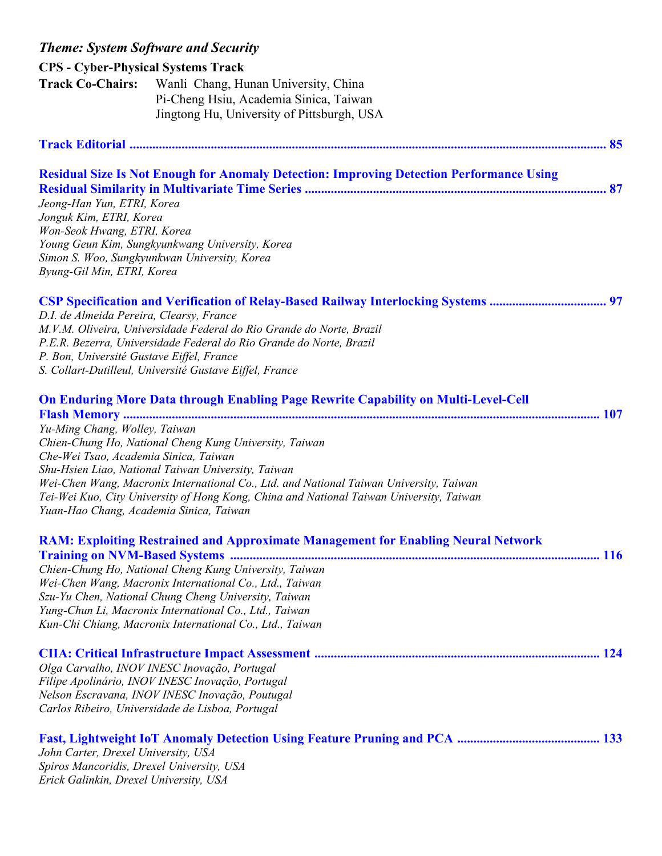## *Theme: System Software and Security*  **CPS - Cyber-Physical Systems Track Track Co-Chairs:** Wanli Chang, Hunan University, China Pi-Cheng Hsiu, Academia Sinica, Taiwan Jingtong Hu, University of Pittsburgh, USA

| <b>Residual Size Is Not Enough for Anomaly Detection: Improving Detection Performance Using</b><br>Jeong-Han Yun, ETRI, Korea<br>Jonguk Kim, ETRI, Korea<br>Won-Seok Hwang, ETRI, Korea<br>Young Geun Kim, Sungkyunkwang University, Korea<br>Simon S. Woo, Sungkyunkwan University, Korea<br>Byung-Gil Min, ETRI, Korea                                                                                                                                                                                            |
|---------------------------------------------------------------------------------------------------------------------------------------------------------------------------------------------------------------------------------------------------------------------------------------------------------------------------------------------------------------------------------------------------------------------------------------------------------------------------------------------------------------------|
| D.I. de Almeida Pereira, Clearsy, France<br>M.V.M. Oliveira, Universidade Federal do Rio Grande do Norte, Brazil<br>P.E.R. Bezerra, Universidade Federal do Rio Grande do Norte, Brazil<br>P. Bon, Université Gustave Eiffel, France<br>S. Collart-Dutilleul, Université Gustave Eiffel, France                                                                                                                                                                                                                     |
| <b>On Enduring More Data through Enabling Page Rewrite Capability on Multi-Level-Cell</b><br>Yu-Ming Chang, Wolley, Taiwan<br>Chien-Chung Ho, National Cheng Kung University, Taiwan<br>Che-Wei Tsao, Academia Sinica, Taiwan<br>Shu-Hsien Liao, National Taiwan University, Taiwan<br>Wei-Chen Wang, Macronix International Co., Ltd. and National Taiwan University, Taiwan<br>Tei-Wei Kuo, City University of Hong Kong, China and National Taiwan University, Taiwan<br>Yuan-Hao Chang, Academia Sinica, Taiwan |
| <b>RAM: Exploiting Restrained and Approximate Management for Enabling Neural Network</b><br>Chien-Chung Ho, National Cheng Kung University, Taiwan<br>Wei-Chen Wang, Macronix International Co., Ltd., Taiwan<br>Szu-Yu Chen, National Chung Cheng University, Taiwan<br>Yung-Chun Li, Macronix International Co., Ltd., Taiwan<br>Kun-Chi Chiang, Macronix International Co., Ltd., Taiwan                                                                                                                         |

**CIIA: Critical Infrastructure Impact Assessment ........................................................................................ 124**  *Olga Carvalho, INOV INESC Inovação, Portugal Filipe Apolinário, INOV INESC Inovação, Portugal* 

*Nelson Escravana, INOV INESC Inovação, Poutugal Carlos Ribeiro, Universidade de Lisboa, Portugal* 

| John Carter, Drexel University, USA       |  |
|-------------------------------------------|--|
| Spiros Mancoridis, Drexel University, USA |  |
| Erick Galinkin, Drexel University, USA    |  |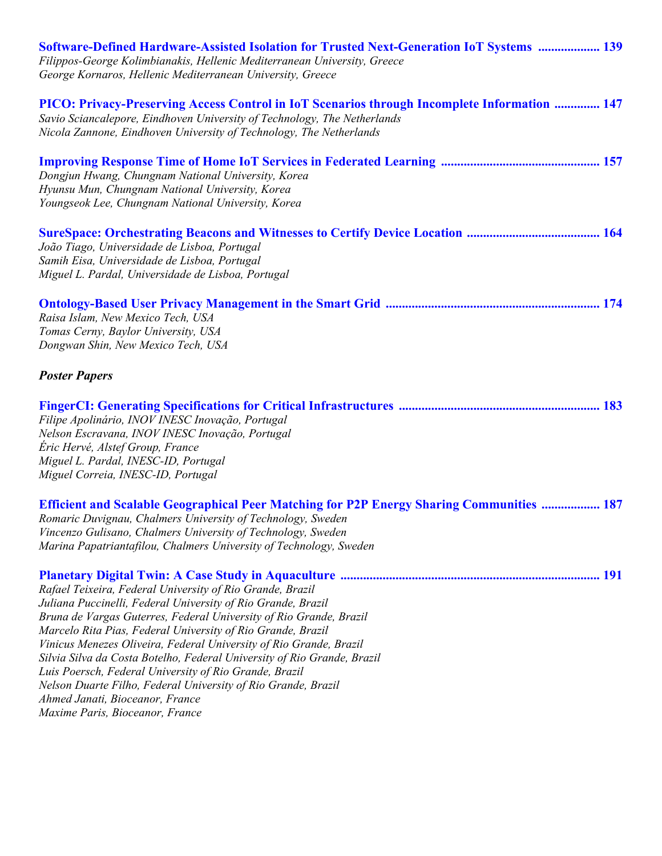| Software-Defined Hardware-Assisted Isolation for Trusted Next-Generation IoT Systems  139<br>Filippos-George Kolimbianakis, Hellenic Mediterranean University, Greece<br>George Kornaros, Hellenic Mediterranean University, Greece                                                                                                                                                                                                                                                                                                                                                                              |  |
|------------------------------------------------------------------------------------------------------------------------------------------------------------------------------------------------------------------------------------------------------------------------------------------------------------------------------------------------------------------------------------------------------------------------------------------------------------------------------------------------------------------------------------------------------------------------------------------------------------------|--|
| PICO: Privacy-Preserving Access Control in IoT Scenarios through Incomplete Information  147<br>Savio Sciancalepore, Eindhoven University of Technology, The Netherlands<br>Nicola Zannone, Eindhoven University of Technology, The Netherlands                                                                                                                                                                                                                                                                                                                                                                  |  |
| Dongjun Hwang, Chungnam National University, Korea<br>Hyunsu Mun, Chungnam National University, Korea<br>Youngseok Lee, Chungnam National University, Korea                                                                                                                                                                                                                                                                                                                                                                                                                                                      |  |
| João Tiago, Universidade de Lisboa, Portugal<br>Samih Eisa, Universidade de Lisboa, Portugal<br>Miguel L. Pardal, Universidade de Lisboa, Portugal                                                                                                                                                                                                                                                                                                                                                                                                                                                               |  |
| Raisa Islam, New Mexico Tech, USA<br>Tomas Cerny, Baylor University, USA<br>Dongwan Shin, New Mexico Tech, USA                                                                                                                                                                                                                                                                                                                                                                                                                                                                                                   |  |
| <b>Poster Papers</b>                                                                                                                                                                                                                                                                                                                                                                                                                                                                                                                                                                                             |  |
| Filipe Apolinário, INOV INESC Inovação, Portugal<br>Nelson Escravana, INOV INESC Inovação, Portugal<br>Éric Hervé, Alstef Group, France<br>Miguel L. Pardal, INESC-ID, Portugal<br>Miguel Correia, INESC-ID, Portugal                                                                                                                                                                                                                                                                                                                                                                                            |  |
| <b>Efficient and Scalable Geographical Peer Matching for P2P Energy Sharing Communities  187</b><br>Romaric Duvignau, Chalmers University of Technology, Sweden<br>Vincenzo Gulisano, Chalmers University of Technology, Sweden<br>Marina Papatriantafilou, Chalmers University of Technology, Sweden                                                                                                                                                                                                                                                                                                            |  |
| Rafael Teixeira, Federal University of Rio Grande, Brazil<br>Juliana Puccinelli, Federal University of Rio Grande, Brazil<br>Bruna de Vargas Guterres, Federal University of Rio Grande, Brazil<br>Marcelo Rita Pias, Federal University of Rio Grande, Brazil<br>Vinicus Menezes Oliveira, Federal University of Rio Grande, Brazil<br>Silvia Silva da Costa Botelho, Federal University of Rio Grande, Brazil<br>Luis Poersch, Federal University of Rio Grande, Brazil<br>Nelson Duarte Filho, Federal University of Rio Grande, Brazil<br>Ahmed Janati, Bioceanor, France<br>Maxime Paris, Bioceanor, France |  |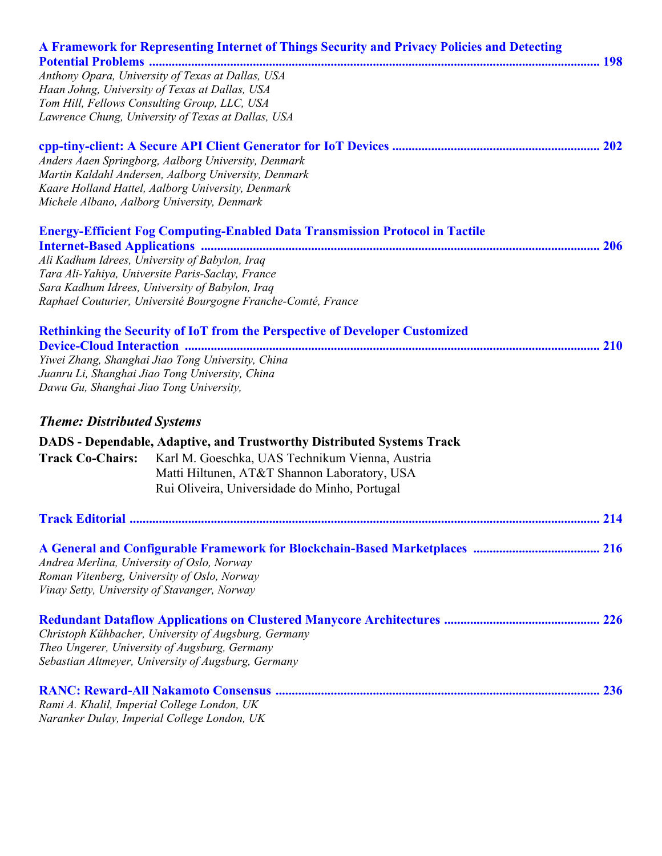|                                              | A Framework for Representing Internet of Things Security and Privacy Policies and Detecting          |     |
|----------------------------------------------|------------------------------------------------------------------------------------------------------|-----|
|                                              | Anthony Opara, University of Texas at Dallas, USA                                                    |     |
|                                              | Haan Johng, University of Texas at Dallas, USA                                                       |     |
|                                              | Tom Hill, Fellows Consulting Group, LLC, USA                                                         |     |
|                                              | Lawrence Chung, University of Texas at Dallas, USA                                                   |     |
|                                              |                                                                                                      |     |
|                                              | Anders Aaen Springborg, Aalborg University, Denmark                                                  |     |
|                                              | Martin Kaldahl Andersen, Aalborg University, Denmark                                                 |     |
|                                              | Kaare Holland Hattel, Aalborg University, Denmark                                                    |     |
|                                              | Michele Albano, Aalborg University, Denmark                                                          |     |
|                                              | <b>Energy-Efficient Fog Computing-Enabled Data Transmission Protocol in Tactile</b>                  |     |
|                                              |                                                                                                      |     |
|                                              | Ali Kadhum Idrees, University of Babylon, Iraq<br>Tara Ali-Yahiya, Universite Paris-Saclay, France   |     |
|                                              | Sara Kadhum Idrees, University of Babylon, Iraq                                                      |     |
|                                              | Raphael Couturier, Université Bourgogne Franche-Comté, France                                        |     |
|                                              |                                                                                                      |     |
|                                              | Rethinking the Security of IoT from the Perspective of Developer Customized                          |     |
|                                              |                                                                                                      |     |
|                                              | Yiwei Zhang, Shanghai Jiao Tong University, China                                                    |     |
|                                              | Juanru Li, Shanghai Jiao Tong University, China                                                      |     |
| Dawu Gu, Shanghai Jiao Tong University,      |                                                                                                      |     |
| <b>Theme: Distributed Systems</b>            |                                                                                                      |     |
|                                              | <b>DADS</b> - Dependable, Adaptive, and Trustworthy Distributed Systems Track                        |     |
| <b>Track Co-Chairs:</b>                      | Karl M. Goeschka, UAS Technikum Vienna, Austria                                                      |     |
|                                              | Matti Hiltunen, AT&T Shannon Laboratory, USA                                                         |     |
|                                              | Rui Oliveira, Universidade do Minho, Portugal                                                        |     |
| <b>Track Editorial </b>                      |                                                                                                      | 214 |
|                                              |                                                                                                      |     |
| Andrea Merlina, University of Oslo, Norway   |                                                                                                      |     |
|                                              | Roman Vitenberg, University of Oslo, Norway                                                          |     |
| Vinay Setty, University of Stavanger, Norway |                                                                                                      |     |
|                                              |                                                                                                      |     |
|                                              |                                                                                                      |     |
|                                              | Christoph Kühbacher, University of Augsburg, Germany                                                 |     |
|                                              | Theo Ungerer, University of Augsburg, Germany<br>Sebastian Altmeyer, University of Augsburg, Germany |     |
|                                              |                                                                                                      |     |
|                                              |                                                                                                      |     |
| Rami A. Khalil, Imperial College London, UK  | Naranker Dulay, Imperial College London, UK                                                          |     |
|                                              |                                                                                                      |     |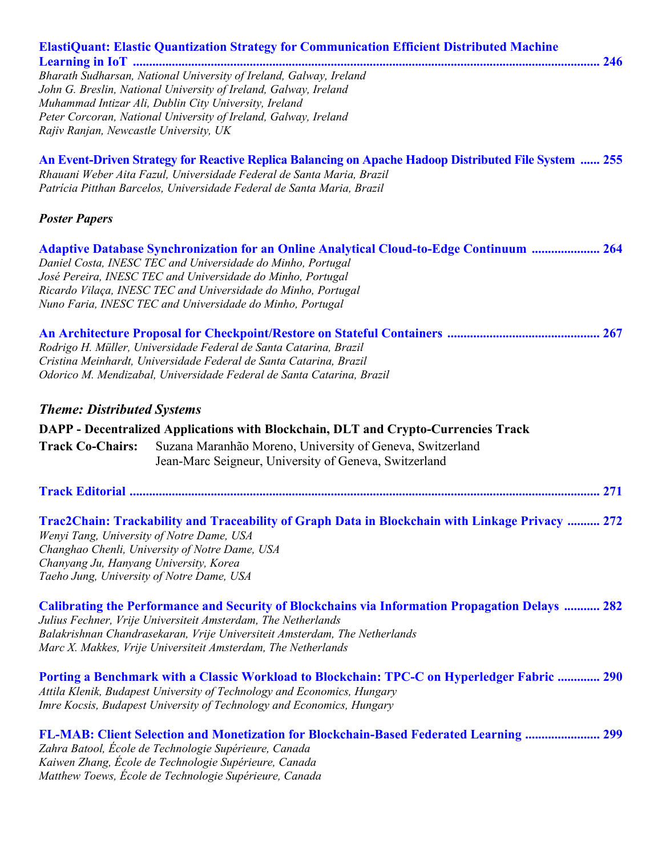| ElastiQuant: Elastic Quantization Strategy for Communication Efficient Distributed Machine<br>Bharath Sudharsan, National University of Ireland, Galway, Ireland<br>John G. Breslin, National University of Ireland, Galway, Ireland<br>Muhammad Intizar Ali, Dublin City University, Ireland<br>Peter Corcoran, National University of Ireland, Galway, Ireland<br>Rajiv Ranjan, Newcastle University, UK |
|------------------------------------------------------------------------------------------------------------------------------------------------------------------------------------------------------------------------------------------------------------------------------------------------------------------------------------------------------------------------------------------------------------|
| An Event-Driven Strategy for Reactive Replica Balancing on Apache Hadoop Distributed File System  255<br>Rhauani Weber Aita Fazul, Universidade Federal de Santa Maria, Brazil<br>Patrícia Pitthan Barcelos, Universidade Federal de Santa Maria, Brazil                                                                                                                                                   |
| <b>Poster Papers</b>                                                                                                                                                                                                                                                                                                                                                                                       |
| Adaptive Database Synchronization for an Online Analytical Cloud-to-Edge Continuum  264<br>Daniel Costa, INESC TEC and Universidade do Minho, Portugal<br>José Pereira, INESC TEC and Universidade do Minho, Portugal<br>Ricardo Vilaça, INESC TEC and Universidade do Minho, Portugal<br>Nuno Faria, INESC TEC and Universidade do Minho, Portugal                                                        |
| Rodrigo H. Müller, Universidade Federal de Santa Catarina, Brazil<br>Cristina Meinhardt, Universidade Federal de Santa Catarina, Brazil<br>Odorico M. Mendizabal, Universidade Federal de Santa Catarina, Brazil                                                                                                                                                                                           |
| <b>Theme: Distributed Systems</b>                                                                                                                                                                                                                                                                                                                                                                          |
| DAPP - Decentralized Applications with Blockchain, DLT and Crypto-Currencies Track<br>Suzana Maranhão Moreno, University of Geneva, Switzerland<br><b>Track Co-Chairs:</b><br>Jean-Marc Seigneur, University of Geneva, Switzerland                                                                                                                                                                        |
| 271                                                                                                                                                                                                                                                                                                                                                                                                        |
| Trac2Chain: Trackability and Traceability of Graph Data in Blockchain with Linkage Privacy  272<br>Wenyi Tang, University of Notre Dame, USA<br>Changhao Chenli, University of Notre Dame, USA<br>Chanyang Ju, Hanyang University, Korea<br>Taeho Jung, University of Notre Dame, USA                                                                                                                      |
| <b>Calibrating the Performance and Security of Blockchains via Information Propagation Delays  282</b><br>Julius Fechner, Vrije Universiteit Amsterdam, The Netherlands<br>Balakrishnan Chandrasekaran, Vrije Universiteit Amsterdam, The Netherlands<br>Marc X. Makkes, Vrije Universiteit Amsterdam, The Netherlands                                                                                     |
| Porting a Benchmark with a Classic Workload to Blockchain: TPC-C on Hyperledger Fabric  290<br>Attila Klenik, Budapest University of Technology and Economics, Hungary<br>Imre Kocsis, Budapest University of Technology and Economics, Hungary                                                                                                                                                            |
| <b>FL-MAB: Client Selection and Monetization for Blockchain-Based Federated Learning  299</b><br>Zahra Batool, École de Technologie Supérieure, Canada<br>Kaiwen Zhang, École de Technologie Supérieure, Canada<br>Matthew Toews, École de Technologie Supérieure, Canada                                                                                                                                  |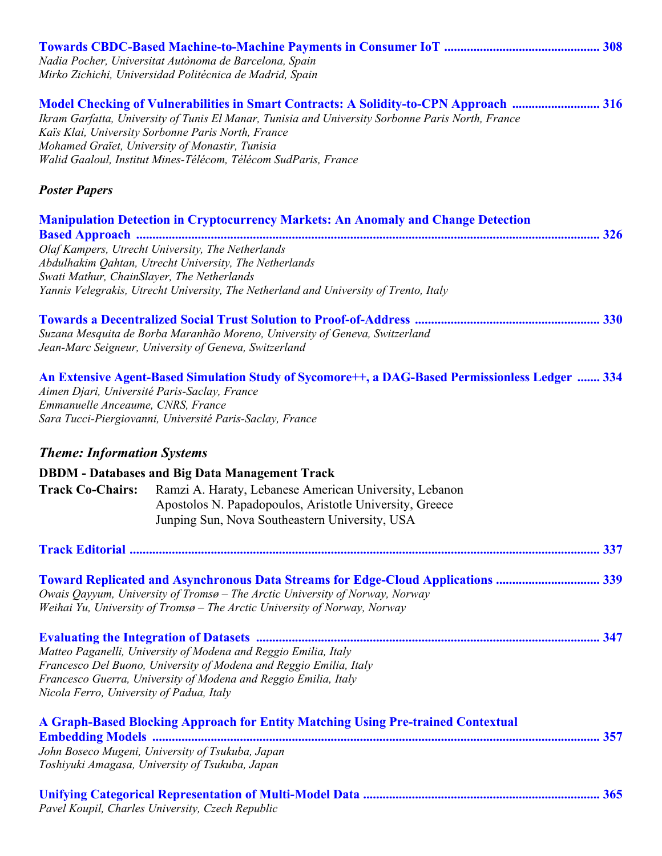|                                                                                   | Nadia Pocher, Universitat Autònoma de Barcelona, Spain<br>Mirko Zichichi, Universidad Politécnica de Madrid, Spain                                                                                                                                                                                                                                                     |  |
|-----------------------------------------------------------------------------------|------------------------------------------------------------------------------------------------------------------------------------------------------------------------------------------------------------------------------------------------------------------------------------------------------------------------------------------------------------------------|--|
|                                                                                   | Model Checking of Vulnerabilities in Smart Contracts: A Solidity-to-CPN Approach  316<br>Ikram Garfatta, University of Tunis El Manar, Tunisia and University Sorbonne Paris North, France<br>Kaïs Klai, University Sorbonne Paris North, France<br>Mohamed Graïet, University of Monastir, Tunisia<br>Walid Gaaloul, Institut Mines-Télécom, Télécom SudParis, France |  |
| <b>Poster Papers</b>                                                              |                                                                                                                                                                                                                                                                                                                                                                        |  |
|                                                                                   | <b>Manipulation Detection in Cryptocurrency Markets: An Anomaly and Change Detection</b>                                                                                                                                                                                                                                                                               |  |
|                                                                                   |                                                                                                                                                                                                                                                                                                                                                                        |  |
|                                                                                   | Olaf Kampers, Utrecht University, The Netherlands<br>Abdulhakim Qahtan, Utrecht University, The Netherlands                                                                                                                                                                                                                                                            |  |
| Swati Mathur, ChainSlayer, The Netherlands                                        |                                                                                                                                                                                                                                                                                                                                                                        |  |
|                                                                                   | Yannis Velegrakis, Utrecht University, The Netherland and University of Trento, Italy                                                                                                                                                                                                                                                                                  |  |
|                                                                                   |                                                                                                                                                                                                                                                                                                                                                                        |  |
|                                                                                   | Suzana Mesquita de Borba Maranhão Moreno, University of Geneva, Switzerland                                                                                                                                                                                                                                                                                            |  |
|                                                                                   | Jean-Marc Seigneur, University of Geneva, Switzerland                                                                                                                                                                                                                                                                                                                  |  |
| Aimen Djari, Université Paris-Saclay, France<br>Emmanuelle Anceaume, CNRS, France | An Extensive Agent-Based Simulation Study of Sycomore++, a DAG-Based Permissionless Ledger  334                                                                                                                                                                                                                                                                        |  |
|                                                                                   | Sara Tucci-Piergiovanni, Université Paris-Saclay, France                                                                                                                                                                                                                                                                                                               |  |
| <b>Theme: Information Systems</b>                                                 |                                                                                                                                                                                                                                                                                                                                                                        |  |
|                                                                                   | <b>DBDM</b> - Databases and Big Data Management Track                                                                                                                                                                                                                                                                                                                  |  |
| <b>Track Co-Chairs:</b>                                                           | Ramzi A. Haraty, Lebanese American University, Lebanon                                                                                                                                                                                                                                                                                                                 |  |
|                                                                                   | Apostolos N. Papadopoulos, Aristotle University, Greece                                                                                                                                                                                                                                                                                                                |  |
|                                                                                   | Junping Sun, Nova Southeastern University, USA                                                                                                                                                                                                                                                                                                                         |  |
|                                                                                   |                                                                                                                                                                                                                                                                                                                                                                        |  |
|                                                                                   |                                                                                                                                                                                                                                                                                                                                                                        |  |
|                                                                                   | Toward Replicated and Asynchronous Data Streams for Edge-Cloud Applications  339                                                                                                                                                                                                                                                                                       |  |
|                                                                                   | Owais Qayyum, University of Tromsø - The Arctic University of Norway, Norway<br>Weihai Yu, University of Tromsø – The Arctic University of Norway, Norway                                                                                                                                                                                                              |  |
|                                                                                   |                                                                                                                                                                                                                                                                                                                                                                        |  |
|                                                                                   | Matteo Paganelli, University of Modena and Reggio Emilia, Italy                                                                                                                                                                                                                                                                                                        |  |
|                                                                                   | Francesco Del Buono, University of Modena and Reggio Emilia, Italy                                                                                                                                                                                                                                                                                                     |  |
| Nicola Ferro, University of Padua, Italy                                          | Francesco Guerra, University of Modena and Reggio Emilia, Italy                                                                                                                                                                                                                                                                                                        |  |
|                                                                                   | A Graph-Based Blocking Approach for Entity Matching Using Pre-trained Contextual                                                                                                                                                                                                                                                                                       |  |
|                                                                                   |                                                                                                                                                                                                                                                                                                                                                                        |  |
|                                                                                   | John Boseco Mugeni, University of Tsukuba, Japan<br>Toshiyuki Amagasa, University of Tsukuba, Japan                                                                                                                                                                                                                                                                    |  |
|                                                                                   | Pavel Koupil, Charles University, Czech Republic                                                                                                                                                                                                                                                                                                                       |  |
|                                                                                   |                                                                                                                                                                                                                                                                                                                                                                        |  |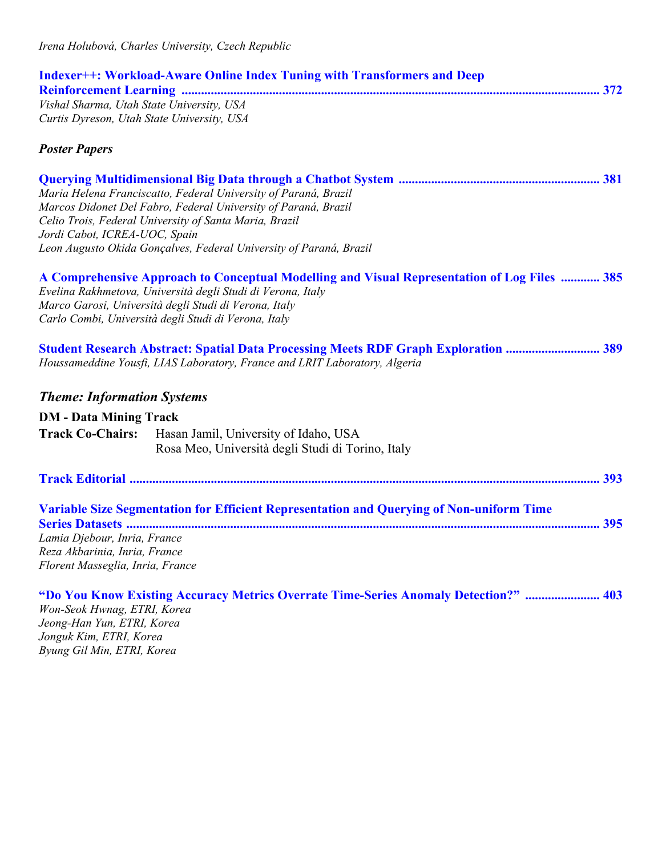| <b>Indexer++: Workload-Aware Online Index Tuning with Transformers and Deep</b> |  |
|---------------------------------------------------------------------------------|--|
|                                                                                 |  |
| Vishal Sharma, Utah State University, USA                                       |  |
| Curtis Dyreson, Utah State University, USA                                      |  |

|                                                                                          | Maria Helena Franciscatto, Federal University of Paraná, Brazil                                                                                                                                                                                                              |  |
|------------------------------------------------------------------------------------------|------------------------------------------------------------------------------------------------------------------------------------------------------------------------------------------------------------------------------------------------------------------------------|--|
|                                                                                          | Marcos Didonet Del Fabro, Federal University of Paraná, Brazil                                                                                                                                                                                                               |  |
|                                                                                          | Celio Trois, Federal University of Santa Maria, Brazil                                                                                                                                                                                                                       |  |
| Jordi Cabot, ICREA-UOC, Spain                                                            |                                                                                                                                                                                                                                                                              |  |
|                                                                                          | Leon Augusto Okida Gonçalves, Federal University of Paraná, Brazil                                                                                                                                                                                                           |  |
|                                                                                          | A Comprehensive Approach to Conceptual Modelling and Visual Representation of Log Files  385<br>Evelina Rakhmetova, Università degli Studi di Verona, Italy<br>Marco Garosi, Università degli Studi di Verona, Italy<br>Carlo Combi, Università degli Studi di Verona, Italy |  |
|                                                                                          | <b>Student Research Abstract: Spatial Data Processing Meets RDF Graph Exploration  389</b><br>Houssameddine Yousfi, LIAS Laboratory, France and LRIT Laboratory, Algeria                                                                                                     |  |
|                                                                                          |                                                                                                                                                                                                                                                                              |  |
| <b>Theme: Information Systems</b>                                                        |                                                                                                                                                                                                                                                                              |  |
| <b>DM</b> - Data Mining Track                                                            |                                                                                                                                                                                                                                                                              |  |
| <b>Track Co-Chairs:</b>                                                                  | Hasan Jamil, University of Idaho, USA                                                                                                                                                                                                                                        |  |
|                                                                                          | Rosa Meo, Università degli Studi di Torino, Italy                                                                                                                                                                                                                            |  |
|                                                                                          |                                                                                                                                                                                                                                                                              |  |
|                                                                                          | Variable Size Segmentation for Efficient Representation and Querying of Non-uniform Time                                                                                                                                                                                     |  |
|                                                                                          |                                                                                                                                                                                                                                                                              |  |
| Lamia Djebour, Inria, France                                                             |                                                                                                                                                                                                                                                                              |  |
| Reza Akbarinia, Inria, France                                                            |                                                                                                                                                                                                                                                                              |  |
| Florent Masseglia, Inria, France                                                         |                                                                                                                                                                                                                                                                              |  |
| $W_{\alpha\mu}$ $\chi_{\alpha\alpha}$ $\mu_{\mu\nu\alpha\alpha}$ $\mu_{\nu\alpha\alpha}$ | "Do You Know Existing Accuracy Metrics Overrate Time-Series Anomaly Detection?"  403                                                                                                                                                                                         |  |

*Won-Seok Hwnag, ETRI, Korea Jeong-Han Yun, ETRI, Korea Jonguk Kim, ETRI, Korea Byung Gil Min, ETRI, Korea*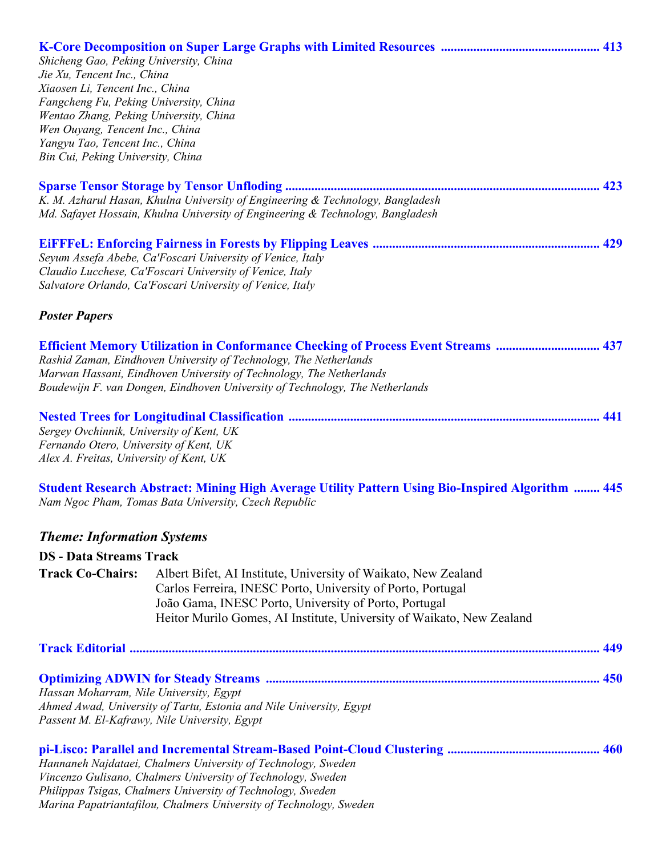| Shicheng Gao, Peking University, China<br>Jie Xu, Tencent Inc., China<br>Xiaosen Li, Tencent Inc., China<br>Fangcheng Fu, Peking University, China<br>Wentao Zhang, Peking University, China<br>Wen Ouyang, Tencent Inc., China<br>Yangyu Tao, Tencent Inc., China<br>Bin Cui, Peking University, China |                                                                                                                                                                                                                                                                                                                       |  |
|---------------------------------------------------------------------------------------------------------------------------------------------------------------------------------------------------------------------------------------------------------------------------------------------------------|-----------------------------------------------------------------------------------------------------------------------------------------------------------------------------------------------------------------------------------------------------------------------------------------------------------------------|--|
|                                                                                                                                                                                                                                                                                                         | K. M. Azharul Hasan, Khulna University of Engineering & Technology, Bangladesh<br>Md. Safayet Hossain, Khulna University of Engineering & Technology, Bangladesh                                                                                                                                                      |  |
|                                                                                                                                                                                                                                                                                                         | Seyum Assefa Abebe, Ca'Foscari University of Venice, Italy<br>Claudio Lucchese, Ca'Foscari University of Venice, Italy<br>Salvatore Orlando, Ca'Foscari University of Venice, Italy                                                                                                                                   |  |
| <b>Poster Papers</b>                                                                                                                                                                                                                                                                                    |                                                                                                                                                                                                                                                                                                                       |  |
|                                                                                                                                                                                                                                                                                                         | <b>Efficient Memory Utilization in Conformance Checking of Process Event Streams  437</b><br>Rashid Zaman, Eindhoven University of Technology, The Netherlands<br>Marwan Hassani, Eindhoven University of Technology, The Netherlands<br>Boudewijn F. van Dongen, Eindhoven University of Technology, The Netherlands |  |
| Sergey Ovchinnik, University of Kent, UK<br>Fernando Otero, University of Kent, UK<br>Alex A. Freitas, University of Kent, UK                                                                                                                                                                           |                                                                                                                                                                                                                                                                                                                       |  |
|                                                                                                                                                                                                                                                                                                         | <b>Student Research Abstract: Mining High Average Utility Pattern Using Bio-Inspired Algorithm  445</b><br>Nam Ngoc Pham, Tomas Bata University, Czech Republic                                                                                                                                                       |  |
| <b>Theme: Information Systems</b>                                                                                                                                                                                                                                                                       |                                                                                                                                                                                                                                                                                                                       |  |
| <b>DS</b> - Data Streams Track                                                                                                                                                                                                                                                                          |                                                                                                                                                                                                                                                                                                                       |  |
| <b>Track Co-Chairs:</b>                                                                                                                                                                                                                                                                                 | Albert Bifet, AI Institute, University of Waikato, New Zealand<br>Carlos Ferreira, INESC Porto, University of Porto, Portugal<br>João Gama, INESC Porto, University of Porto, Portugal<br>Heitor Murilo Gomes, AI Institute, University of Waikato, New Zealand                                                       |  |
|                                                                                                                                                                                                                                                                                                         |                                                                                                                                                                                                                                                                                                                       |  |
| Hassan Moharram, Nile University, Egypt<br>Passent M. El-Kafrawy, Nile University, Egypt                                                                                                                                                                                                                | Ahmed Awad, University of Tartu, Estonia and Nile University, Egypt                                                                                                                                                                                                                                                   |  |
|                                                                                                                                                                                                                                                                                                         | Hannaneh Najdataei, Chalmers University of Technology, Sweden<br>Vincenzo Gulisano, Chalmers University of Technology, Sweden<br>Philippas Tsigas, Chalmers University of Technology, Sweden<br>Marina Papatriantafilou, Chalmers University of Technology, Sweden                                                    |  |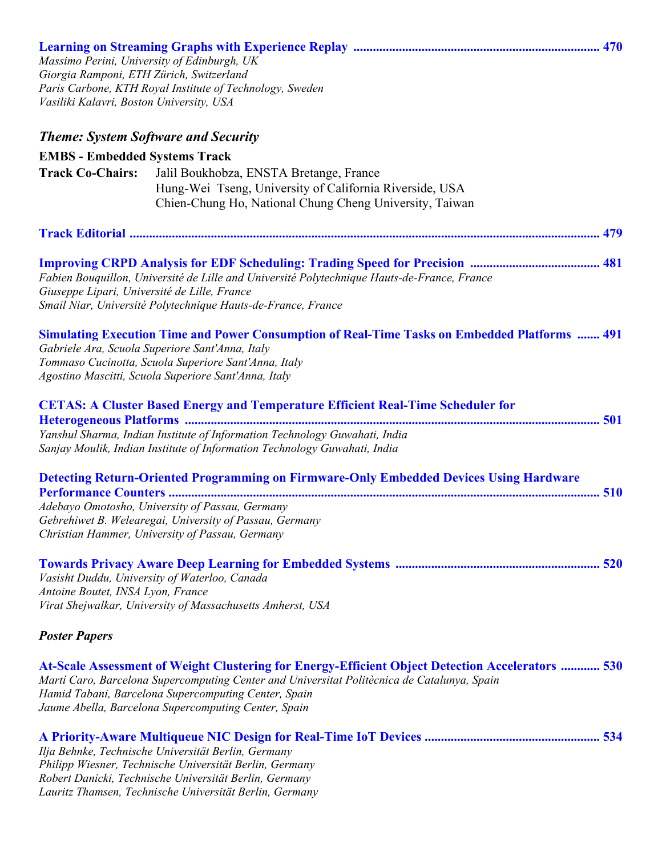| Massimo Perini, University of Edinburgh, UK<br>Giorgia Ramponi, ETH Zürich, Switzerland<br>Vasiliki Kalavri, Boston University, USA | Paris Carbone, KTH Royal Institute of Technology, Sweden                                                                                                                                                                                                                                                        |  |
|-------------------------------------------------------------------------------------------------------------------------------------|-----------------------------------------------------------------------------------------------------------------------------------------------------------------------------------------------------------------------------------------------------------------------------------------------------------------|--|
| <b>Theme: System Software and Security</b>                                                                                          |                                                                                                                                                                                                                                                                                                                 |  |
| <b>EMBS - Embedded Systems Track</b>                                                                                                |                                                                                                                                                                                                                                                                                                                 |  |
| <b>Track Co-Chairs:</b>                                                                                                             | Jalil Boukhobza, ENSTA Bretange, France<br>Hung-Wei Tseng, University of California Riverside, USA<br>Chien-Chung Ho, National Chung Cheng University, Taiwan                                                                                                                                                   |  |
|                                                                                                                                     |                                                                                                                                                                                                                                                                                                                 |  |
| Giuseppe Lipari, Université de Lille, France                                                                                        | Fabien Bouquillon, Université de Lille and Université Polytechnique Hauts-de-France, France<br>Smail Niar, Université Polytechnique Hauts-de-France, France                                                                                                                                                     |  |
|                                                                                                                                     | <b>Simulating Execution Time and Power Consumption of Real-Time Tasks on Embedded Platforms  491</b><br>Gabriele Ara, Scuola Superiore Sant'Anna, Italy<br>Tommaso Cucinotta, Scuola Superiore Sant'Anna, Italy<br>Agostino Mascitti, Scuola Superiore Sant'Anna, Italy                                         |  |
|                                                                                                                                     | <b>CETAS: A Cluster Based Energy and Temperature Efficient Real-Time Scheduler for</b>                                                                                                                                                                                                                          |  |
|                                                                                                                                     | Yanshul Sharma, Indian Institute of Information Technology Guwahati, India<br>Sanjay Moulik, Indian Institute of Information Technology Guwahati, India                                                                                                                                                         |  |
|                                                                                                                                     | <b>Detecting Return-Oriented Programming on Firmware-Only Embedded Devices Using Hardware</b>                                                                                                                                                                                                                   |  |
|                                                                                                                                     | Adebayo Omotosho, University of Passau, Germany<br>Gebrehiwet B. Welearegai, University of Passau, Germany<br>Christian Hammer, University of Passau, Germany                                                                                                                                                   |  |
| Antoine Boutet, INSA Lyon, France                                                                                                   | Vasisht Duddu, University of Waterloo, Canada<br>Virat Shejwalkar, University of Massachusetts Amherst, USA                                                                                                                                                                                                     |  |
| <b>Poster Papers</b>                                                                                                                |                                                                                                                                                                                                                                                                                                                 |  |
|                                                                                                                                     | At-Scale Assessment of Weight Clustering for Energy-Efficient Object Detection Accelerators  530<br>Martí Caro, Barcelona Supercomputing Center and Universitat Politècnica de Catalunya, Spain<br>Hamid Tabani, Barcelona Supercomputing Center, Spain<br>Jaume Abella, Barcelona Supercomputing Center, Spain |  |
|                                                                                                                                     | Ilja Behnke, Technische Universität Berlin, Germany<br>Philipp Wiesner, Technische Universität Berlin, Germany<br>Robert Danicki, Technische Universität Berlin, Germany<br>Lauritz Thamsen, Technische Universität Berlin, Germany                                                                             |  |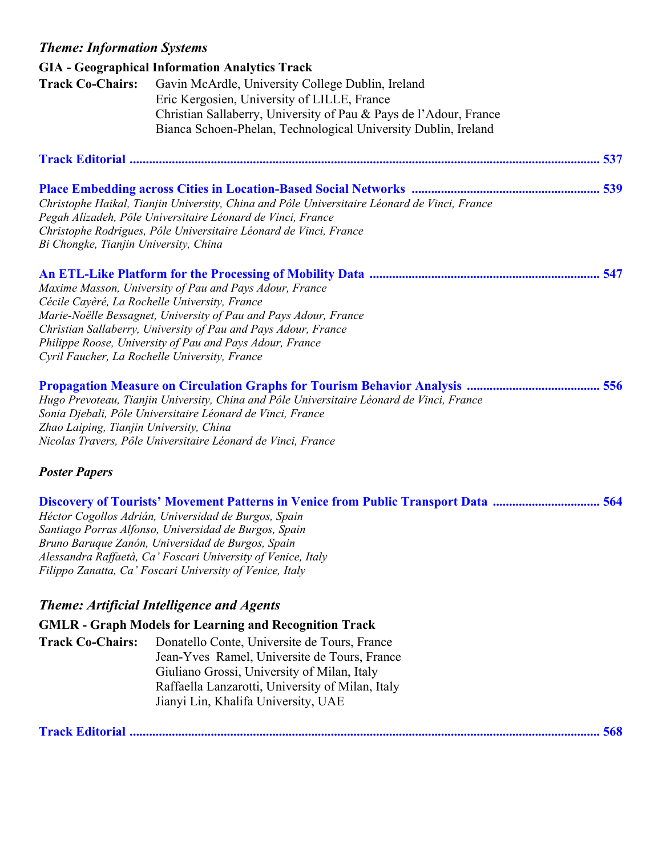### *Theme: Information Systems*

|                                       | <b>GIA</b> - Geographical Information Analytics Track                                        |     |
|---------------------------------------|----------------------------------------------------------------------------------------------|-----|
| <b>Track Co-Chairs:</b>               | Gavin McArdle, University College Dublin, Ireland                                            |     |
|                                       | Eric Kergosien, University of LILLE, France                                                  |     |
|                                       | Christian Sallaberry, University of Pau & Pays de l'Adour, France                            |     |
|                                       | Bianca Schoen-Phelan, Technological University Dublin, Ireland                               |     |
|                                       |                                                                                              |     |
|                                       |                                                                                              | 537 |
|                                       |                                                                                              |     |
|                                       |                                                                                              |     |
|                                       | Christophe Haikal, Tianjin University, China and Pôle Universitaire Léonard de Vinci, France |     |
|                                       | Pegah Alizadeh, Pôle Universitaire Léonard de Vinci, France                                  |     |
|                                       | Christophe Rodrigues, Pôle Universitaire Léonard de Vinci, France                            |     |
| Bi Chongke, Tianjin University, China |                                                                                              |     |
|                                       |                                                                                              |     |
|                                       |                                                                                              |     |
|                                       | Maxime Masson, University of Pau and Pays Adour, France                                      |     |
|                                       | Cécile Cayèré, La Rochelle University, France                                                |     |
|                                       | Marie-Noëlle Bessagnet, University of Pau and Pays Adour, France                             |     |
|                                       | Christian Sallaberry, University of Pau and Pays Adour, France                               |     |
|                                       | Philippe Roose, University of Pau and Pays Adour, France                                     |     |
|                                       | Cyril Faucher, La Rochelle University, France                                                |     |

| Hugo Prevoteau, Tianjin University, China and Pôle Universitaire Léonard de Vinci, France |  |
|-------------------------------------------------------------------------------------------|--|
| Sonia Djebali, Pôle Universitaire Léonard de Vinci, France                                |  |
| Zhao Laiping, Tianjin University, China                                                   |  |
| Nicolas Travers, Pôle Universitaire Léonard de Vinci, France                              |  |

#### *Poster Papers*

**Discovery of Tourists' Movement Patterns in Venice from Public Transport Data ................................. 564**  *Héctor Cogollos Adrián, Universidad de Burgos, Spain Santiago Porras Alfonso, Universidad de Burgos, Spain Bruno Baruque Zanón, Universidad de Burgos, Spain Alessandra Raffaetà, Ca' Foscari University of Venice, Italy Filippo Zanatta, Ca' Foscari University of Venice, Italy* 

## *Theme: Artificial Intelligence and Agents*

**GMLR - Graph Models for Learning and Recognition Track** 

**Track Co-Chairs:** Donatello Conte, Universite de Tours, France Jean-Yves Ramel, Universite de Tours, France Giuliano Grossi, University of Milan, Italy Raffaella Lanzarotti, University of Milan, Italy Jianyi Lin, Khalifa University, UAE

**Track Editorial ................................................................................................................................................. 568**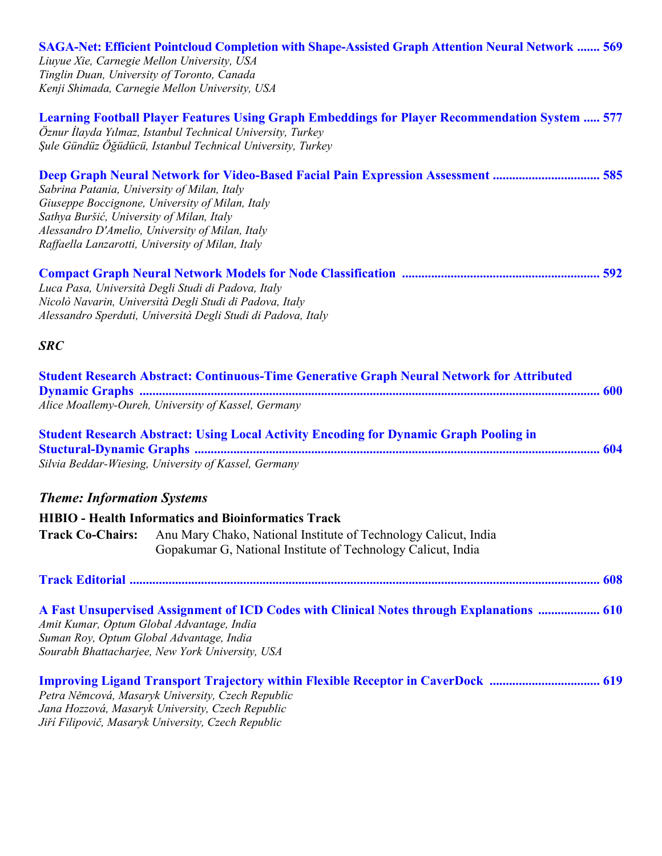| <b>SAGA-Net: Efficient Pointcloud Completion with Shape-Assisted Graph Attention Neural Network  569</b><br>Liuyue Xie, Carnegie Mellon University, USA                                                                                                                                                                                |  |
|----------------------------------------------------------------------------------------------------------------------------------------------------------------------------------------------------------------------------------------------------------------------------------------------------------------------------------------|--|
| Tinglin Duan, University of Toronto, Canada                                                                                                                                                                                                                                                                                            |  |
| Kenji Shimada, Carnegie Mellon University, USA                                                                                                                                                                                                                                                                                         |  |
| <b>Learning Football Player Features Using Graph Embeddings for Player Recommendation System  577</b><br>Öznur İlayda Yılmaz, Istanbul Technical University, Turkey<br>Şule Gündüz Öğüdücü, Istanbul Technical University, Turkey                                                                                                      |  |
| Deep Graph Neural Network for Video-Based Facial Pain Expression Assessment  585<br>Sabrina Patania, University of Milan, Italy<br>Giuseppe Boccignone, University of Milan, Italy<br>Sathya Buršić, University of Milan, Italy<br>Alessandro D'Amelio, University of Milan, Italy<br>Raffaella Lanzarotti, University of Milan, Italy |  |
| Luca Pasa, Università Degli Studi di Padova, Italy<br>Nicolò Navarin, Università Degli Studi di Padova, Italy<br>Alessandro Sperduti, Università Degli Studi di Padova, Italy                                                                                                                                                          |  |
| <b>SRC</b>                                                                                                                                                                                                                                                                                                                             |  |
| <b>Student Research Abstract: Continuous-Time Generative Graph Neural Network for Attributed</b><br>Alice Moallemy-Oureh, University of Kassel, Germany                                                                                                                                                                                |  |
| <b>Student Research Abstract: Using Local Activity Encoding for Dynamic Graph Pooling in</b><br>Silvia Beddar-Wiesing, University of Kassel, Germany                                                                                                                                                                                   |  |
| <b>Theme: Information Systems</b>                                                                                                                                                                                                                                                                                                      |  |
| <b>HIBIO</b> - Health Informatics and Bioinformatics Track                                                                                                                                                                                                                                                                             |  |
| <b>Track Co-Chairs:</b><br>Anu Mary Chako, National Institute of Technology Calicut, India<br>Gopakumar G, National Institute of Technology Calicut, India                                                                                                                                                                             |  |
|                                                                                                                                                                                                                                                                                                                                        |  |
| A Fast Unsupervised Assignment of ICD Codes with Clinical Notes through Explanations  610<br>Amit Kumar, Optum Global Advantage, India<br>Suman Roy, Optum Global Advantage, India<br>Sourabh Bhattacharjee, New York University, USA                                                                                                  |  |
| <b>Improving Ligand Transport Trajectory within Flexible Receptor in CaverDock  619</b><br>Petra Němcová, Masaryk University, Czech Republic<br>Jana Hozzová, Masaryk University, Czech Republic<br>Jiří Filipovič, Masaryk University, Czech Republic                                                                                 |  |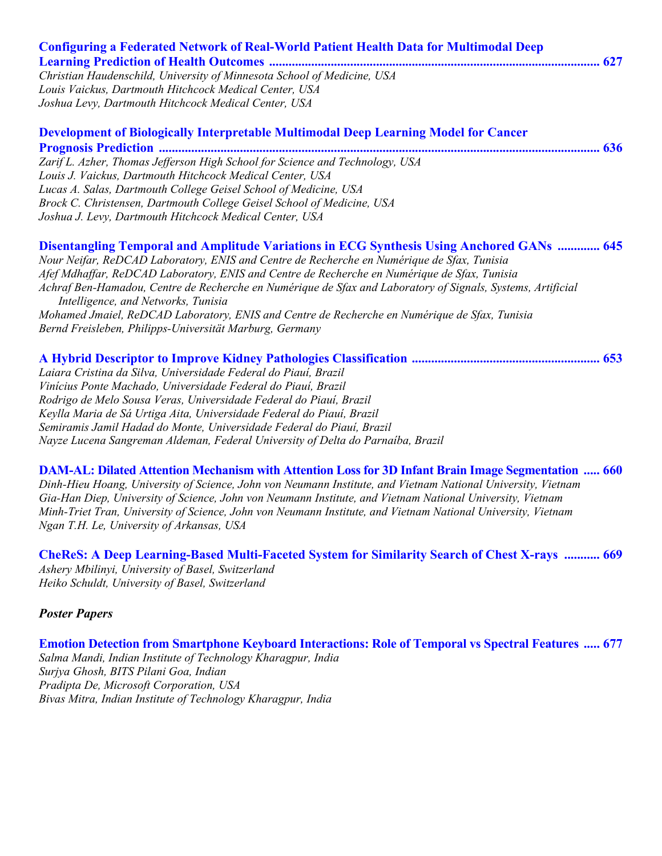| <b>Configuring a Federated Network of Real-World Patient Health Data for Multimodal Deep</b>                                                       |
|----------------------------------------------------------------------------------------------------------------------------------------------------|
|                                                                                                                                                    |
| Christian Haudenschild, University of Minnesota School of Medicine, USA                                                                            |
| Louis Vaickus, Dartmouth Hitchcock Medical Center, USA                                                                                             |
| Joshua Levy, Dartmouth Hitchcock Medical Center, USA                                                                                               |
| Development of Biologically Interpretable Multimodal Deep Learning Model for Cancer                                                                |
|                                                                                                                                                    |
| Zarif L. Azher, Thomas Jefferson High School for Science and Technology, USA                                                                       |
| Louis J. Vaickus, Dartmouth Hitchcock Medical Center, USA                                                                                          |
| Lucas A. Salas, Dartmouth College Geisel School of Medicine, USA                                                                                   |
| Brock C. Christensen, Dartmouth College Geisel School of Medicine, USA                                                                             |
| Joshua J. Levy, Dartmouth Hitchcock Medical Center, USA                                                                                            |
| <b>Disentangling Temporal and Amplitude Variations in ECG Synthesis Using Anchored GANs  645</b>                                                   |
| Nour Neifar, ReDCAD Laboratory, ENIS and Centre de Recherche en Numérique de Sfax, Tunisia                                                         |
| Afef Mdhaffar, ReDCAD Laboratory, ENIS and Centre de Recherche en Numérique de Sfax, Tunisia                                                       |
| Achraf Ben-Hamadou, Centre de Recherche en Numérique de Sfax and Laboratory of Signals, Systems, Artificial<br>Intelligence, and Networks, Tunisia |
| Mohamed Jmaiel, ReDCAD Laboratory, ENIS and Centre de Recherche en Numérique de Sfax, Tunisia                                                      |
| Bernd Freisleben, Philipps-Universität Marburg, Germany                                                                                            |
|                                                                                                                                                    |
| Laiara Cristina da Silva, Universidade Federal do Piauí, Brazil                                                                                    |
| Vinícius Ponte Machado, Universidade Federal do Piauí, Brazil                                                                                      |
| Rodrigo de Melo Sousa Veras, Universidade Federal do Piauí, Brazil                                                                                 |
| Keylla Maria de Sá Urtiga Aita, Universidade Federal do Piauí, Brazil                                                                              |
| Semiramis Jamil Hadad do Monte, Universidade Federal do Piauí, Brazil                                                                              |
| Nayze Lucena Sangreman Aldeman, Federal University of Delta do Parnaíba, Brazil                                                                    |

**DAM-AL: Dilated Attention Mechanism with Attention Loss for 3D Infant Brain Image Segmentation ..... 660**  *Dinh-Hieu Hoang, University of Science, John von Neumann Institute, and Vietnam National University, Vietnam Gia-Han Diep, University of Science, John von Neumann Institute, and Vietnam National University, Vietnam Minh-Triet Tran, University of Science, John von Neumann Institute, and Vietnam National University, Vietnam Ngan T.H. Le, University of Arkansas, USA* 

**CheReS: A Deep Learning-Based Multi-Faceted System for Similarity Search of Chest X-rays ........... 669**  *Ashery Mbilinyi, University of Basel, Switzerland Heiko Schuldt, University of Basel, Switzerland* 

#### *Poster Papers*

**Emotion Detection from Smartphone Keyboard Interactions: Role of Temporal vs Spectral Features ..... 677**  *Salma Mandi, Indian Institute of Technology Kharagpur, India Surjya Ghosh, BITS Pilani Goa, Indian Pradipta De, Microsoft Corporation, USA Bivas Mitra, Indian Institute of Technology Kharagpur, India*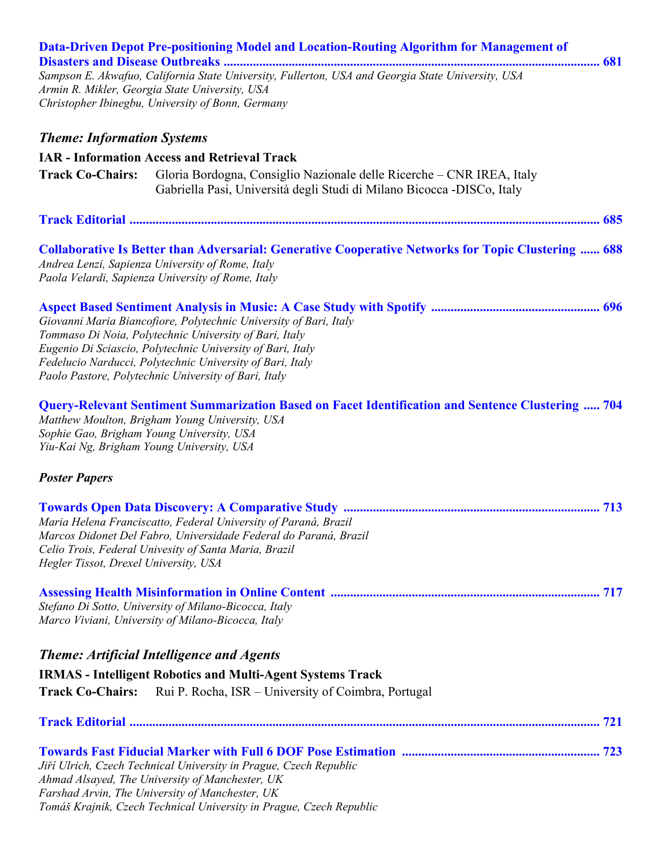|                                                                                        | Data-Driven Depot Pre-positioning Model and Location-Routing Algorithm for Management of                                                                                                                                                                                                                       |  |
|----------------------------------------------------------------------------------------|----------------------------------------------------------------------------------------------------------------------------------------------------------------------------------------------------------------------------------------------------------------------------------------------------------------|--|
|                                                                                        | Sampson E. Akwafuo, California State University, Fullerton, USA and Georgia State University, USA<br>Armin R. Mikler, Georgia State University, USA                                                                                                                                                            |  |
|                                                                                        | Christopher Ibinegbu, University of Bonn, Germany                                                                                                                                                                                                                                                              |  |
| <b>Theme: Information Systems</b>                                                      |                                                                                                                                                                                                                                                                                                                |  |
|                                                                                        | <b>IAR - Information Access and Retrieval Track</b>                                                                                                                                                                                                                                                            |  |
| <b>Track Co-Chairs:</b>                                                                | Gloria Bordogna, Consiglio Nazionale delle Ricerche – CNR IREA, Italy<br>Gabriella Pasi, Università degli Studi di Milano Bicocca -DISCo, Italy                                                                                                                                                                |  |
|                                                                                        |                                                                                                                                                                                                                                                                                                                |  |
|                                                                                        | <b>Collaborative Is Better than Adversarial: Generative Cooperative Networks for Topic Clustering  688</b><br>Andrea Lenzi, Sapienza University of Rome, Italy<br>Paola Velardi, Sapienza University of Rome, Italy                                                                                            |  |
|                                                                                        | Giovanni Maria Biancofiore, Polytechnic University of Bari, Italy<br>Tommaso Di Noia, Polytechnic University of Bari, Italy<br>Eugenio Di Sciascio, Polytechnic University of Bari, Italy<br>Fedelucio Narducci, Polytechnic University of Bari, Italy<br>Paolo Pastore, Polytechnic University of Bari, Italy |  |
| Sophie Gao, Brigham Young University, USA<br>Yiu-Kai Ng, Brigham Young University, USA | <b>Query-Relevant Sentiment Summarization Based on Facet Identification and Sentence Clustering  704</b><br>Matthew Moulton, Brigham Young University, USA                                                                                                                                                     |  |
| <b>Poster Papers</b>                                                                   |                                                                                                                                                                                                                                                                                                                |  |
|                                                                                        |                                                                                                                                                                                                                                                                                                                |  |
|                                                                                        | Maria Helena Franciscatto, Federal University of Paraná, Brazil                                                                                                                                                                                                                                                |  |
|                                                                                        | Marcos Didonet Del Fabro, Universidade Federal do Paraná, Brazil<br>Celio Trois, Federal Univesity of Santa Maria, Brazil                                                                                                                                                                                      |  |
| Hegler Tissot, Drexel University, USA                                                  |                                                                                                                                                                                                                                                                                                                |  |
|                                                                                        |                                                                                                                                                                                                                                                                                                                |  |
|                                                                                        | Stefano Di Sotto, University of Milano-Bicocca, Italy<br>Marco Viviani, University of Milano-Bicocca, Italy                                                                                                                                                                                                    |  |
|                                                                                        | <b>Theme: Artificial Intelligence and Agents</b>                                                                                                                                                                                                                                                               |  |
|                                                                                        | <b>IRMAS</b> - Intelligent Robotics and Multi-Agent Systems Track                                                                                                                                                                                                                                              |  |
| <b>Track Co-Chairs:</b>                                                                | Rui P. Rocha, ISR – University of Coimbra, Portugal                                                                                                                                                                                                                                                            |  |
|                                                                                        |                                                                                                                                                                                                                                                                                                                |  |
|                                                                                        |                                                                                                                                                                                                                                                                                                                |  |
|                                                                                        | Jiří Ulrich, Czech Technical University in Prague, Czech Republic                                                                                                                                                                                                                                              |  |
|                                                                                        | Ahmad Alsayed, The University of Manchester, UK<br>Farshad Arvin, The University of Manchester, UK                                                                                                                                                                                                             |  |
|                                                                                        | Tomáš Krajnik, Czech Technical University in Prague, Czech Republic                                                                                                                                                                                                                                            |  |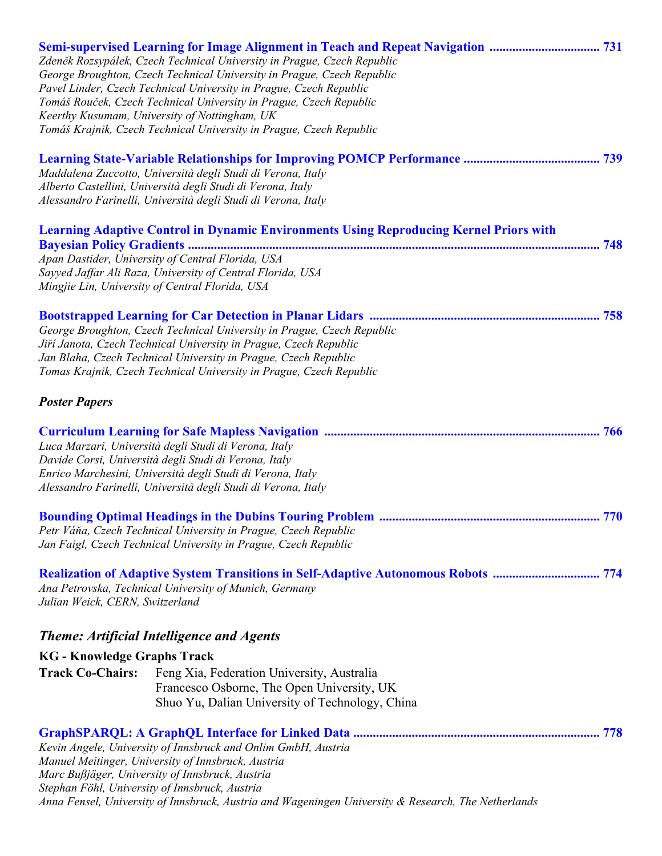| Semi-supervised Learning for Image Alignment in Teach and Repeat Navigation  731<br>Zdeněk Rozsypálek, Czech Technical University in Prague, Czech Republic<br>George Broughton, Czech Technical University in Prague, Czech Republic<br>Pavel Linder, Czech Technical University in Prague, Czech Republic<br>Tomáš Rouček, Czech Technical University in Prague, Czech Republic<br>Keerthy Kusumam, University of Nottingham, UK<br>Tomáš Krajnik, Czech Technical University in Prague, Czech Republic |  |
|-----------------------------------------------------------------------------------------------------------------------------------------------------------------------------------------------------------------------------------------------------------------------------------------------------------------------------------------------------------------------------------------------------------------------------------------------------------------------------------------------------------|--|
| Maddalena Zuccotto, Università degli Studi di Verona, Italy<br>Alberto Castellini, Università degli Studi di Verona, Italy<br>Alessandro Farinelli, Università degli Studi di Verona, Italy                                                                                                                                                                                                                                                                                                               |  |
| <b>Learning Adaptive Control in Dynamic Environments Using Reproducing Kernel Priors with</b><br>Apan Dastider, University of Central Florida, USA<br>Sayyed Jaffar Ali Raza, University of Central Florida, USA<br>Mingjie Lin, University of Central Florida, USA                                                                                                                                                                                                                                       |  |
| George Broughton, Czech Technical University in Prague, Czech Republic<br>Jiří Janota, Czech Technical University in Prague, Czech Republic<br>Jan Blaha, Czech Technical University in Prague, Czech Republic<br>Tomas Krajnik, Czech Technical University in Prague, Czech Republic<br><b>Poster Papers</b>                                                                                                                                                                                             |  |
| Luca Marzari, Università degli Studi di Verona, Italy<br>Davide Corsi, Università degli Studi di Verona, Italy<br>Enrico Marchesini, Università degli Studi di Verona, Italy<br>Alessandro Farinelli, Università degli Studi di Verona, Italy                                                                                                                                                                                                                                                             |  |
| Petr Váňa, Czech Technical University in Prague, Czech Republic<br>Jan Faigl, Czech Technical University in Prague, Czech Republic                                                                                                                                                                                                                                                                                                                                                                        |  |
| <b>Realization of Adaptive System Transitions in Self-Adaptive Autonomous Robots  774</b><br>Ana Petrovska, Technical University of Munich, Germany<br>Julian Weick, CERN, Switzerland                                                                                                                                                                                                                                                                                                                    |  |
| <b>Theme: Artificial Intelligence and Agents</b>                                                                                                                                                                                                                                                                                                                                                                                                                                                          |  |
| <b>KG</b> - Knowledge Graphs Track                                                                                                                                                                                                                                                                                                                                                                                                                                                                        |  |
| <b>Track Co-Chairs:</b><br>Feng Xia, Federation University, Australia<br>Francesco Osborne, The Open University, UK<br>Shuo Yu, Dalian University of Technology, China                                                                                                                                                                                                                                                                                                                                    |  |
| Kevin Angele, University of Innsbruck and Onlim GmbH, Austria<br>Manuel Meitinger, University of Innsbruck, Austria<br>Marc Bußjäger, University of Innsbruck, Austria<br>Stephan Föhl, University of Innsbruck, Austria<br>Anna Fensel, University of Innsbruck, Austria and Wageningen University & Research, The Netherlands                                                                                                                                                                           |  |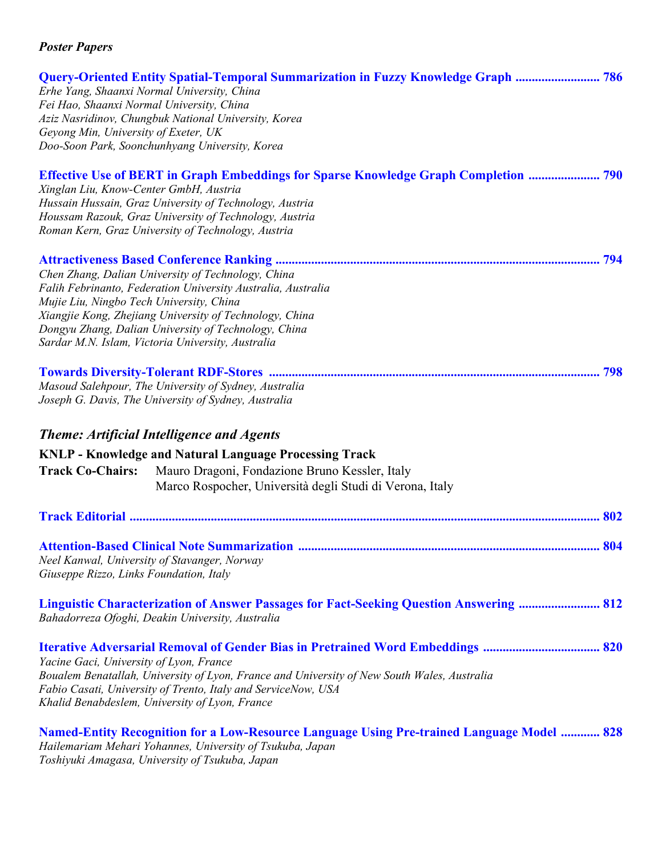| Fei Hao, Shaanxi Normal University, China<br>Geyong Min, University of Exeter, UK | <b>Query-Oriented Entity Spatial-Temporal Summarization in Fuzzy Knowledge Graph  786</b><br>Erhe Yang, Shaanxi Normal University, China<br>Aziz Nasridinov, Chungbuk National University, Korea<br>Doo-Soon Park, Soonchunhyang University, Korea                                                |  |
|-----------------------------------------------------------------------------------|---------------------------------------------------------------------------------------------------------------------------------------------------------------------------------------------------------------------------------------------------------------------------------------------------|--|
| Xinglan Liu, Know-Center GmbH, Austria                                            | <b>Effective Use of BERT in Graph Embeddings for Sparse Knowledge Graph Completion  790</b><br>Hussain Hussain, Graz University of Technology, Austria<br>Houssam Razouk, Graz University of Technology, Austria<br>Roman Kern, Graz University of Technology, Austria                            |  |
| Mujie Liu, Ningbo Tech University, China                                          | Chen Zhang, Dalian University of Technology, China<br>Falih Febrinanto, Federation University Australia, Australia<br>Xiangjie Kong, Zhejiang University of Technology, China<br>Dongyu Zhang, Dalian University of Technology, China<br>Sardar M.N. Islam, Victoria University, Australia        |  |
| <b>Track Co-Chairs:</b>                                                           | Masoud Salehpour, The University of Sydney, Australia<br>Joseph G. Davis, The University of Sydney, Australia<br><b>Theme: Artificial Intelligence and Agents</b><br><b>KNLP - Knowledge and Natural Language Processing Track</b><br>Mauro Dragoni, Fondazione Bruno Kessler, Italy              |  |
|                                                                                   | Marco Rospocher, Università degli Studi di Verona, Italy                                                                                                                                                                                                                                          |  |
|                                                                                   |                                                                                                                                                                                                                                                                                                   |  |
| Giuseppe Rizzo, Links Foundation, Italy                                           | Neel Kanwal, University of Stavanger, Norway                                                                                                                                                                                                                                                      |  |
|                                                                                   | <b>Linguistic Characterization of Answer Passages for Fact-Seeking Question Answering  812</b><br>Bahadorreza Ofoghi, Deakin University, Australia                                                                                                                                                |  |
| Yacine Gaci, University of Lyon, France                                           | Iterative Adversarial Removal of Gender Bias in Pretrained Word Embeddings  820<br>Boualem Benatallah, University of Lyon, France and University of New South Wales, Australia<br>Fabio Casati, University of Trento, Italy and ServiceNow, USA<br>Khalid Benabdeslem, University of Lyon, France |  |
|                                                                                   | <b>Named-Entity Recognition for a Low-Resource Language Using Pre-trained Language Model  828</b><br>Hailemariam Mehari Yohannes, University of Tsukuba, Japan                                                                                                                                    |  |

*Toshiyuki Amagasa, University of Tsukuba, Japan*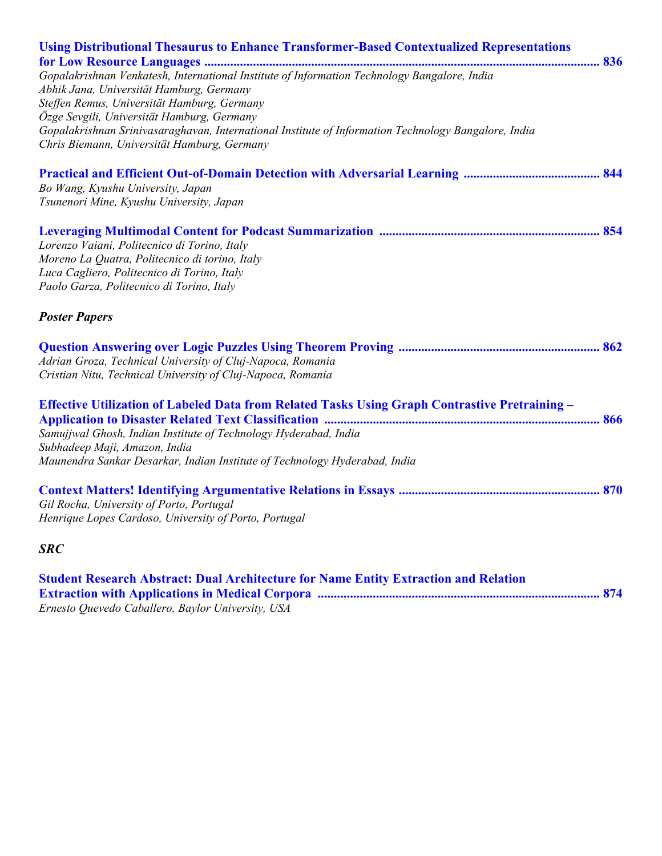| <b>Using Distributional Thesaurus to Enhance Transformer-Based Contextualized Representations</b>    |
|------------------------------------------------------------------------------------------------------|
|                                                                                                      |
| Gopalakrishnan Venkatesh, International Institute of Information Technology Bangalore, India         |
| Abhik Jana, Universität Hamburg, Germany                                                             |
| Steffen Remus, Universität Hamburg, Germany                                                          |
| Özge Sevgili, Universität Hamburg, Germany                                                           |
| Gopalakrishnan Srinivasaraghavan, International Institute of Information Technology Bangalore, India |
| Chris Biemann, Universität Hamburg, Germany                                                          |
|                                                                                                      |
| Bo Wang, Kyushu University, Japan                                                                    |
| Tsunenori Mine, Kyushu University, Japan                                                             |
|                                                                                                      |
| Lorenzo Vaiani, Politecnico di Torino, Italy                                                         |
| Moreno La Quatra, Politecnico di torino, Italy                                                       |
| Luca Cagliero, Politecnico di Torino, Italy                                                          |
| Paolo Garza, Politecnico di Torino, Italy                                                            |
| <b>Poster Papers</b>                                                                                 |
|                                                                                                      |
| Adrian Groza, Technical University of Cluj-Napoca, Romania                                           |
| Cristian Nitu, Technical University of Cluj-Napoca, Romania                                          |
| Effective Utilization of Labeled Data from Related Tasks Using Graph Contrastive Pretraining -       |
|                                                                                                      |
| Samujjwal Ghosh, Indian Institute of Technology Hyderabad, India                                     |
| Subhadeep Maji, Amazon, India                                                                        |
| Maunendra Sankar Desarkar, Indian Institute of Technology Hyderabad, India                           |
|                                                                                                      |
| Gil Rocha, University of Porto, Portugal                                                             |
| Henrique Lopes Cardoso, University of Porto, Portugal                                                |
| <b>SRC</b>                                                                                           |
| <b>Student Research Abstract: Dual Architecture for Name Entity Extraction and Relation</b>          |
|                                                                                                      |

*Ernesto Quevedo Caballero, Baylor University, USA*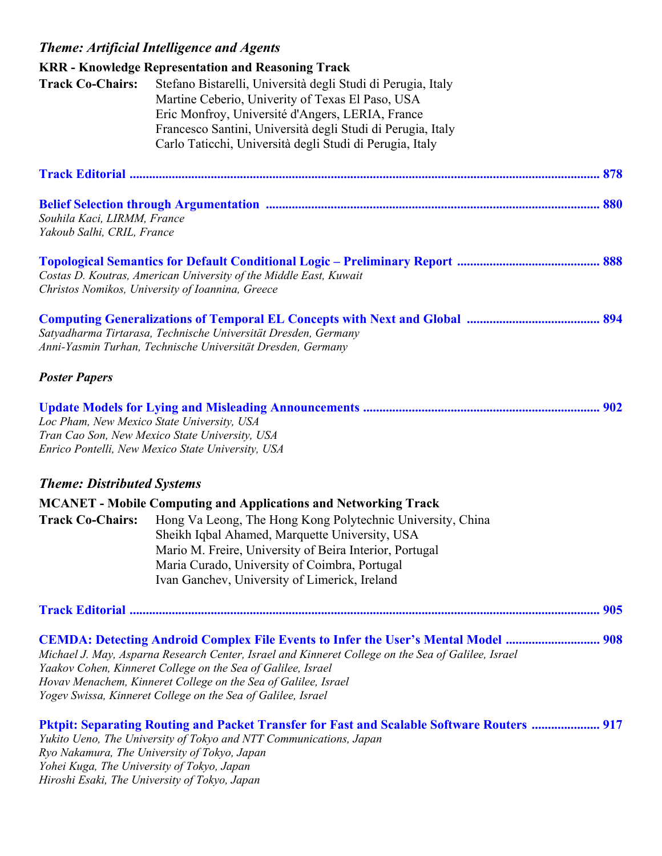## *Theme: Artificial Intelligence and Agents*

|                                            | <b>KRR</b> - Knowledge Representation and Reasoning Track                                          |  |
|--------------------------------------------|----------------------------------------------------------------------------------------------------|--|
| <b>Track Co-Chairs:</b>                    | Stefano Bistarelli, Università degli Studi di Perugia, Italy                                       |  |
|                                            | Martine Ceberio, Univerity of Texas El Paso, USA                                                   |  |
|                                            | Eric Monfroy, Université d'Angers, LERIA, France                                                   |  |
|                                            | Francesco Santini, Università degli Studi di Perugia, Italy                                        |  |
|                                            | Carlo Taticchi, Università degli Studi di Perugia, Italy                                           |  |
|                                            |                                                                                                    |  |
|                                            |                                                                                                    |  |
| Souhila Kaci, LIRMM, France                |                                                                                                    |  |
| Yakoub Salhi, CRIL, France                 |                                                                                                    |  |
|                                            |                                                                                                    |  |
|                                            | Costas D. Koutras, American University of the Middle East, Kuwait                                  |  |
|                                            | Christos Nomikos, University of Ioannina, Greece                                                   |  |
|                                            |                                                                                                    |  |
|                                            | Satyadharma Tirtarasa, Technische Universität Dresden, Germany                                     |  |
|                                            | Anni-Yasmin Turhan, Technische Universität Dresden, Germany                                        |  |
| <b>Poster Papers</b>                       |                                                                                                    |  |
|                                            |                                                                                                    |  |
|                                            | Loc Pham, New Mexico State University, USA                                                         |  |
|                                            | Tran Cao Son, New Mexico State University, USA                                                     |  |
|                                            | Enrico Pontelli, New Mexico State University, USA                                                  |  |
| <b>Theme: Distributed Systems</b>          |                                                                                                    |  |
|                                            | <b>MCANET</b> - Mobile Computing and Applications and Networking Track                             |  |
| <b>Track Co-Chairs:</b>                    | Hong Va Leong, The Hong Kong Polytechnic University, China                                         |  |
|                                            | Sheikh Iqbal Ahamed, Marquette University, USA                                                     |  |
|                                            | Mario M. Freire, University of Beira Interior, Portugal                                            |  |
|                                            | Maria Curado, University of Coimbra, Portugal<br>Ivan Ganchev, University of Limerick, Ireland     |  |
|                                            |                                                                                                    |  |
|                                            |                                                                                                    |  |
|                                            | <b>CEMDA: Detecting Android Complex File Events to Infer the User's Mental Model  908</b>          |  |
|                                            | Michael J. May, Asparna Research Center, Israel and Kinneret College on the Sea of Galilee, Israel |  |
|                                            | Yaakov Cohen, Kinneret College on the Sea of Galilee, Israel                                       |  |
|                                            | Hovav Menachem, Kinneret College on the Sea of Galilee, Israel                                     |  |
|                                            | Yogev Swissa, Kinneret College on the Sea of Galilee, Israel                                       |  |
|                                            | <b>Pktpit: Separating Routing and Packet Transfer for Fast and Scalable Software Routers  917</b>  |  |
|                                            | Yukito Ueno, The University of Tokyo and NTT Communications, Japan                                 |  |
| Yohei Kuga, The University of Tokyo, Japan | Ryo Nakamura, The University of Tokyo, Japan                                                       |  |
|                                            |                                                                                                    |  |

*Hiroshi Esaki, The University of Tokyo, Japan*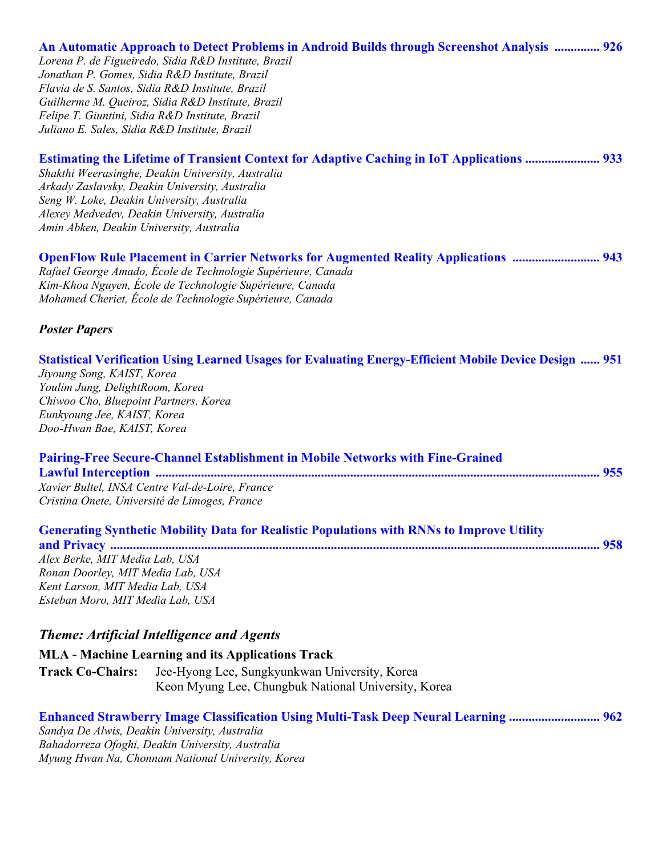#### **An Automatic Approach to Detect Problems in Android Builds through Screenshot Analysis .............. 926**

*Lorena P. de Figueiredo, Sidia R&D Institute, Brazil Jonathan P. Gomes, Sidia R&D Institute, Brazil Flavia de S. Santos, Sidia R&D Institute, Brazil Guilherme M. Queiroz, Sidia R&D Institute, Brazil Felipe T. Giuntini, Sidia R&D Institute, Brazil Juliano E. Sales, Sidia R&D Institute, Brazil* 

| <b>Estimating the Lifetime of Transient Context for Adaptive Caching in IoT Applications  933</b> |
|---------------------------------------------------------------------------------------------------|
| Shakthi Weerasinghe, Deakin University, Australia                                                 |
| Arkady Zaslavsky, Deakin University, Australia                                                    |
| Seng W. Loke, Deakin University, Australia                                                        |
| Alexey Medvedev, Deakin University, Australia                                                     |
| Amin Abken, Deakin University, Australia                                                          |
| <b>OpenFlow Rule Placement in Carrier Networks for Augmented Reality Applications  943</b>        |
| Rafael George Amado, École de Technologie Supérieure, Canada                                      |
| Kim Khoo Norman Esola de Technologia Supérieure Consola                                           |

*Kim-Khoa Nguyen, École de Technologie Supérieure, Canada Mohamed Cheriet, École de Technologie Supérieure, Canada* 

#### *Poster Papers*

#### **Statistical Verification Using Learned Usages for Evaluating Energy-Efficient Mobile Device Design ...... 951**

*Jiyoung Song, KAIST, Korea Youlim Jung, DelightRoom, Korea Chiwoo Cho, Bluepoint Partners, Korea Eunkyoung Jee, KAIST, Korea Doo-Hwan Bae, KAIST, Korea* 

| <b>Pairing-Free Secure-Channel Establishment in Mobile Networks with Fine-Grained</b> |  |
|---------------------------------------------------------------------------------------|--|
|                                                                                       |  |
| Xavier Bultel, INSA Centre Val-de-Loire, France                                       |  |
| Cristina Onete, Université de Limoges, France                                         |  |

| <b>Generating Synthetic Mobility Data for Realistic Populations with RNNs to Improve Utility</b> |  |
|--------------------------------------------------------------------------------------------------|--|
|                                                                                                  |  |
| Alex Berke, MIT Media Lab, USA                                                                   |  |
| Ronan Doorley, MIT Media Lab, USA                                                                |  |
| Kent Larson, MIT Media Lab, USA                                                                  |  |
| Esteban Moro, MIT Media Lab, USA                                                                 |  |

## *Theme: Artificial Intelligence and Agents*

**MLA - Machine Learning and its Applications Track Track Co-Chairs:** Jee-Hyong Lee, Sungkyunkwan University, Korea Keon Myung Lee, Chungbuk National University, Korea

| <b>Enhanced Strawberry Image Classification Using Multi-Task Deep Neural Learning  962</b> |  |
|--------------------------------------------------------------------------------------------|--|
| Sandya De Alwis, Deakin University, Australia                                              |  |
| Bahadorreza Ofoghi, Deakin University, Australia                                           |  |
| Myung Hwan Na, Chonnam National University, Korea                                          |  |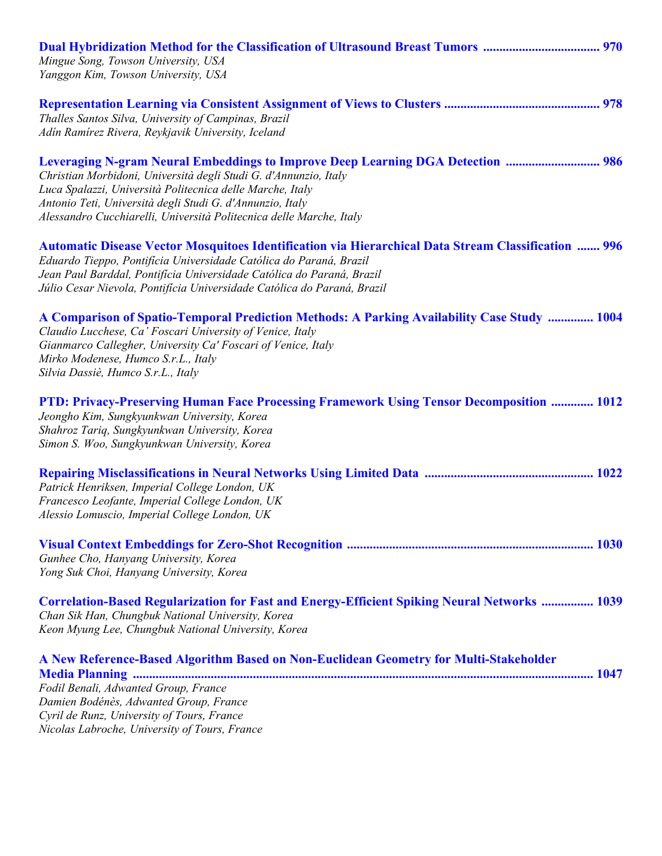| Mingue Song, Towson University, USA<br>Yanggon Kim, Towson University, USA                                                                                                                                                                                                                                                                                  |  |
|-------------------------------------------------------------------------------------------------------------------------------------------------------------------------------------------------------------------------------------------------------------------------------------------------------------------------------------------------------------|--|
| Thalles Santos Silva, University of Campinas, Brazil<br>Adin Ramirez Rivera, Reykjavik University, Iceland                                                                                                                                                                                                                                                  |  |
| <b>Leveraging N-gram Neural Embeddings to Improve Deep Learning DGA Detection  986</b><br>Christian Morbidoni, Università degli Studi G. d'Annunzio, Italy<br>Luca Spalazzi, Università Politecnica delle Marche, Italy<br>Antonio Teti, Università degli Studi G. d'Annunzio, Italy<br>Alessandro Cucchiarelli, Università Politecnica delle Marche, Italy |  |
| <b>Automatic Disease Vector Mosquitoes Identification via Hierarchical Data Stream Classification  996</b><br>Eduardo Tieppo, Pontifícia Universidade Católica do Paraná, Brazil<br>Jean Paul Barddal, Pontificia Universidade Católica do Paraná, Brazil<br>Júlio Cesar Nievola, Pontifícia Universidade Católica do Paraná, Brazil                        |  |
| A Comparison of Spatio-Temporal Prediction Methods: A Parking Availability Case Study  1004<br>Claudio Lucchese, Ca' Foscari University of Venice, Italy<br>Gianmarco Callegher, University Ca' Foscari of Venice, Italy<br>Mirko Modenese, Humco S.r.L., Italy<br>Silvia Dassiè, Humco S.r.L., Italy                                                       |  |
| PTD: Privacy-Preserving Human Face Processing Framework Using Tensor Decomposition  1012<br>Jeongho Kim, Sungkyunkwan University, Korea<br>Shahroz Tariq, Sungkyunkwan University, Korea<br>Simon S. Woo, Sungkyunkwan University, Korea                                                                                                                    |  |
| Patrick Henriksen, Imperial College London, UK<br>Francesco Leofante, Imperial College London, UK<br>Alessio Lomuscio, Imperial College London, UK                                                                                                                                                                                                          |  |
| Gunhee Cho, Hanyang University, Korea<br>Yong Suk Choi, Hanyang University, Korea                                                                                                                                                                                                                                                                           |  |
| <b>Correlation-Based Regularization for Fast and Energy-Efficient Spiking Neural Networks  1039</b><br>Chan Sik Han, Chungbuk National University, Korea<br>Keon Myung Lee, Chungbuk National University, Korea                                                                                                                                             |  |
| A New Reference-Based Algorithm Based on Non-Euclidean Geometry for Multi-Stakeholder<br>Fodil Benali, Adwanted Group, France<br>Damien Bodénès, Adwanted Group, France<br>Cyril de Runz, University of Tours, France<br>Nicolas Labroche, University of Tours, France                                                                                      |  |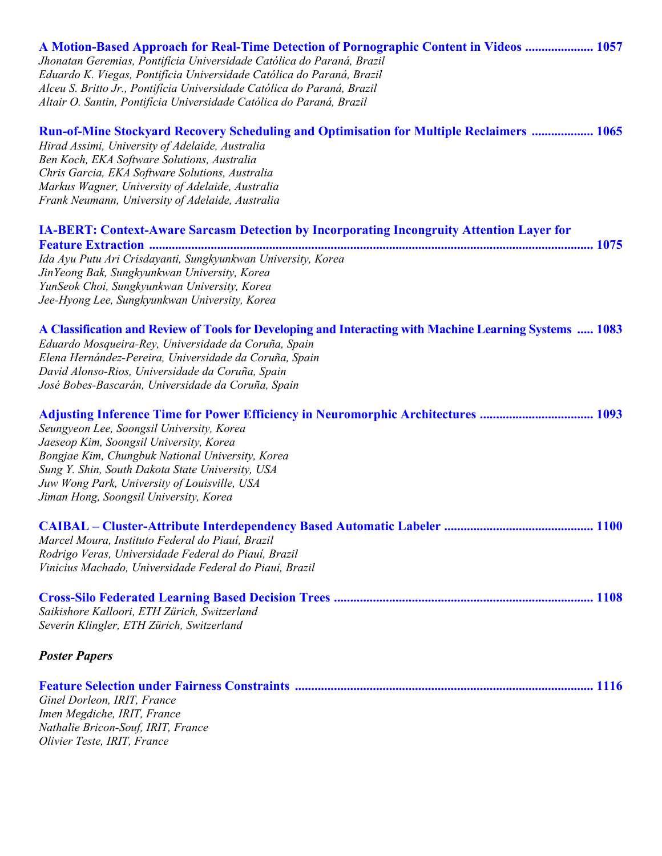| A Motion-Based Approach for Real-Time Detection of Pornographic Content in Videos  1057<br>Jhonatan Geremias, Pontifícia Universidade Católica do Paraná, Brazil<br>Eduardo K. Viegas, Pontifícia Universidade Católica do Paraná, Brazil<br>Alceu S. Britto Jr., Pontifícia Universidade Católica do Paraná, Brazil<br>Altair O. Santin, Pontifícia Universidade Católica do Paraná, Brazil |
|----------------------------------------------------------------------------------------------------------------------------------------------------------------------------------------------------------------------------------------------------------------------------------------------------------------------------------------------------------------------------------------------|
| <b>Run-of-Mine Stockyard Recovery Scheduling and Optimisation for Multiple Reclaimers  1065</b><br>Hirad Assimi, University of Adelaide, Australia<br>Ben Koch, EKA Software Solutions, Australia<br>Chris Garcia, EKA Software Solutions, Australia<br>Markus Wagner, University of Adelaide, Australia<br>Frank Neumann, University of Adelaide, Australia                                 |
| <b>IA-BERT: Context-Aware Sarcasm Detection by Incorporating Incongruity Attention Layer for</b><br>Ida Ayu Putu Ari Crisdayanti, Sungkyunkwan University, Korea<br>JinYeong Bak, Sungkyunkwan University, Korea<br>YunSeok Choi, Sungkyunkwan University, Korea<br>Jee-Hyong Lee, Sungkyunkwan University, Korea                                                                            |
| A Classification and Review of Tools for Developing and Interacting with Machine Learning Systems  1083<br>Eduardo Mosqueira-Rey, Universidade da Coruña, Spain<br>Elena Hernández-Pereira, Universidade da Coruña, Spain<br>David Alonso-Rios, Universidade da Coruña, Spain<br>José Bobes-Bascarán, Universidade da Coruña, Spain                                                          |
| Adjusting Inference Time for Power Efficiency in Neuromorphic Architectures  1093<br>Seungyeon Lee, Soongsil University, Korea<br>Jaeseop Kim, Soongsil University, Korea<br>Bongjae Kim, Chungbuk National University, Korea<br>Sung Y. Shin, South Dakota State University, USA<br>Juw Wong Park, University of Louisville, USA<br>Jiman Hong, Soongsil University, Korea                  |
| Marcel Moura, Instituto Federal do Piauí, Brazil<br>Rodrigo Veras, Universidade Federal do Piauí, Brazil<br>Vinicius Machado, Universidade Federal do Piaui, Brazil                                                                                                                                                                                                                          |
| Saikishore Kalloori, ETH Zürich, Switzerland<br>Severin Klingler, ETH Zürich, Switzerland                                                                                                                                                                                                                                                                                                    |
| <b>Poster Papers</b>                                                                                                                                                                                                                                                                                                                                                                         |
| Ginel Dorleon, IRIT, France<br>Imen Megdiche, IRIT, France<br>Nathalie Bricon-Souf, IRIT, France<br>Olivier Teste, IRIT, France                                                                                                                                                                                                                                                              |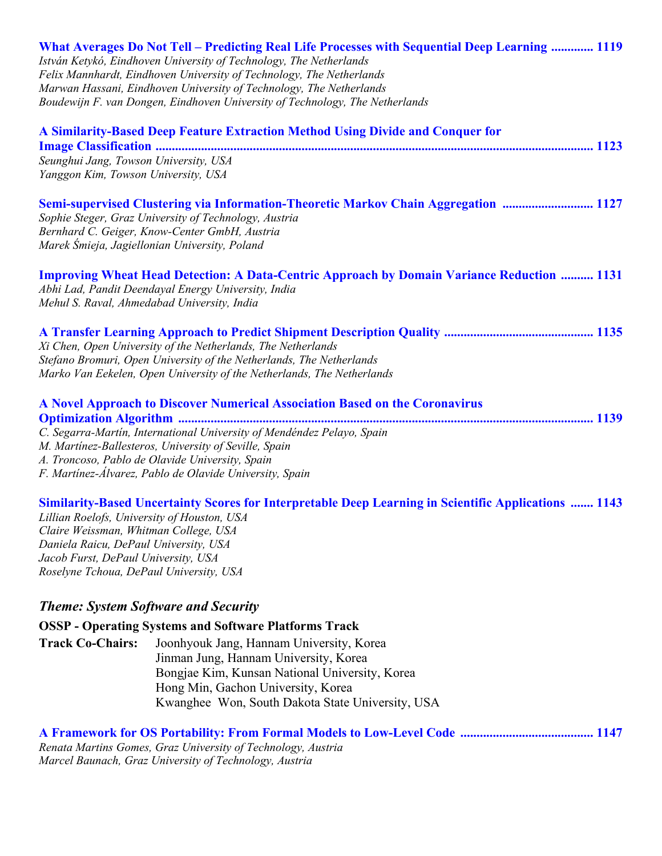|                                                                                                                                                                                                                 | What Averages Do Not Tell – Predicting Real Life Processes with Sequential Deep Learning  1119<br>István Ketykó, Eindhoven University of Technology, The Netherlands<br>Felix Mannhardt, Eindhoven University of Technology, The Netherlands<br>Marwan Hassani, Eindhoven University of Technology, The Netherlands<br>Boudewijn F. van Dongen, Eindhoven University of Technology, The Netherlands |
|-----------------------------------------------------------------------------------------------------------------------------------------------------------------------------------------------------------------|-----------------------------------------------------------------------------------------------------------------------------------------------------------------------------------------------------------------------------------------------------------------------------------------------------------------------------------------------------------------------------------------------------|
| Seunghui Jang, Towson University, USA<br>Yanggon Kim, Towson University, USA                                                                                                                                    | A Similarity-Based Deep Feature Extraction Method Using Divide and Conquer for                                                                                                                                                                                                                                                                                                                      |
|                                                                                                                                                                                                                 | Semi-supervised Clustering via Information-Theoretic Markov Chain Aggregation  1127<br>Sophie Steger, Graz University of Technology, Austria<br>Bernhard C. Geiger, Know-Center GmbH, Austria<br>Marek Śmieja, Jagiellonian University, Poland                                                                                                                                                      |
| Mehul S. Raval, Ahmedabad University, India                                                                                                                                                                     | <b>Improving Wheat Head Detection: A Data-Centric Approach by Domain Variance Reduction  1131</b><br>Abhi Lad, Pandit Deendayal Energy University, India                                                                                                                                                                                                                                            |
|                                                                                                                                                                                                                 | Xi Chen, Open University of the Netherlands, The Netherlands<br>Stefano Bromuri, Open University of the Netherlands, The Netherlands<br>Marko Van Eekelen, Open University of the Netherlands, The Netherlands                                                                                                                                                                                      |
|                                                                                                                                                                                                                 | A Novel Approach to Discover Numerical Association Based on the Coronavirus<br>C. Segarra-Martín, International University of Mendéndez Pelayo, Spain<br>M. Martinez-Ballesteros, University of Seville, Spain<br>A. Troncoso, Pablo de Olavide University, Spain<br>F. Martinez-Álvarez, Pablo de Olavide University, Spain                                                                        |
| Lillian Roelofs, University of Houston, USA<br>Claire Weissman, Whitman College, USA<br>Daniela Raicu, DePaul University, USA<br>Jacob Furst, DePaul University, USA<br>Roselyne Tchoua, DePaul University, USA | <b>Similarity-Based Uncertainty Scores for Interpretable Deep Learning in Scientific Applications  1143</b>                                                                                                                                                                                                                                                                                         |
| <b>Theme: System Software and Security</b>                                                                                                                                                                      |                                                                                                                                                                                                                                                                                                                                                                                                     |
|                                                                                                                                                                                                                 | <b>OSSP</b> - Operating Systems and Software Platforms Track                                                                                                                                                                                                                                                                                                                                        |
| <b>Track Co-Chairs:</b>                                                                                                                                                                                         | Joonhyouk Jang, Hannam University, Korea<br>Jinman Jung, Hannam University, Korea<br>Bongjae Kim, Kunsan National University, Korea<br>Hong Min, Gachon University, Korea<br>Kwanghee Won, South Dakota State University, USA                                                                                                                                                                       |
|                                                                                                                                                                                                                 |                                                                                                                                                                                                                                                                                                                                                                                                     |

*Renata Martins Gomes, Graz University of Technology, Austria Marcel Baunach, Graz University of Technology, Austria*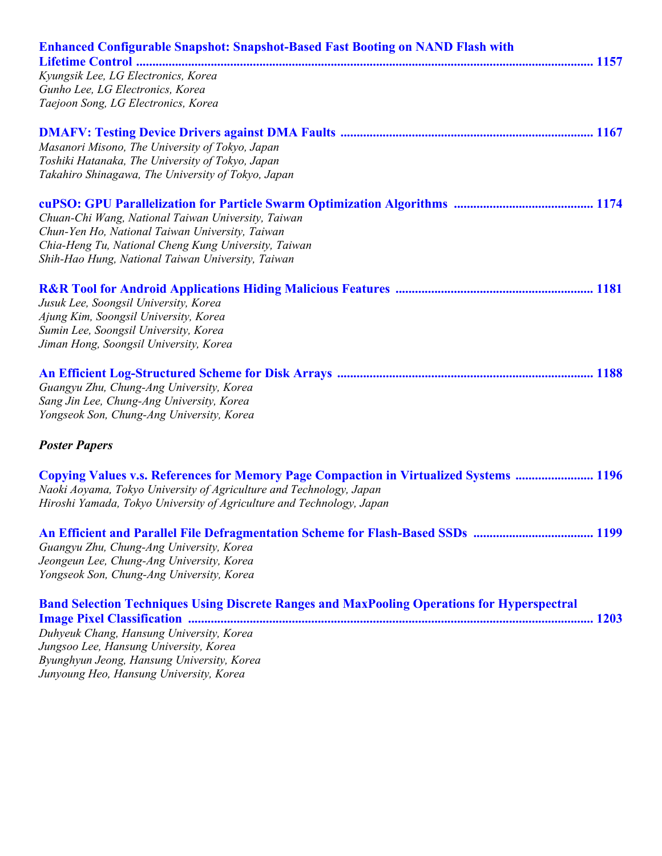| <b>Enhanced Configurable Snapshot: Snapshot-Based Fast Booting on NAND Flash with</b>              |
|----------------------------------------------------------------------------------------------------|
|                                                                                                    |
| Kyungsik Lee, LG Electronics, Korea                                                                |
| Gunho Lee, LG Electronics, Korea                                                                   |
| Taejoon Song, LG Electronics, Korea                                                                |
|                                                                                                    |
| Masanori Misono, The University of Tokyo, Japan                                                    |
| Toshiki Hatanaka, The University of Tokyo, Japan                                                   |
| Takahiro Shinagawa, The University of Tokyo, Japan                                                 |
|                                                                                                    |
| Chuan-Chi Wang, National Taiwan University, Taiwan                                                 |
| Chun-Yen Ho, National Taiwan University, Taiwan                                                    |
| Chia-Heng Tu, National Cheng Kung University, Taiwan                                               |
| Shih-Hao Hung, National Taiwan University, Taiwan                                                  |
|                                                                                                    |
| Jusuk Lee, Soongsil University, Korea                                                              |
| Ajung Kim, Soongsil University, Korea                                                              |
| Sumin Lee, Soongsil University, Korea                                                              |
| Jiman Hong, Soongsil University, Korea                                                             |
|                                                                                                    |
|                                                                                                    |
| Guangyu Zhu, Chung-Ang University, Korea                                                           |
| Sang Jin Lee, Chung-Ang University, Korea                                                          |
| Yongseok Son, Chung-Ang University, Korea                                                          |
| <b>Poster Papers</b>                                                                               |
| <b>Copying Values v.s. References for Memory Page Compaction in Virtualized Systems  1196</b>      |
| Naoki Aoyama, Tokyo University of Agriculture and Technology, Japan                                |
| Hiroshi Yamada, Tokyo University of Agriculture and Technology, Japan                              |
|                                                                                                    |
| Guangyu Zhu, Chung-Ang University, Korea                                                           |
| Jeongeun Lee, Chung-Ang University, Korea                                                          |
| Yongseok Son, Chung-Ang University, Korea                                                          |
| <b>Band Selection Techniques Using Discrete Ranges and MaxPooling Operations for Hyperspectral</b> |
|                                                                                                    |
| Duhyeuk Chang, Hansung University, Korea                                                           |
| Jungsoo Lee, Hansung University, Korea                                                             |
| Byunghyun Jeong, Hansung University, Korea                                                         |
| Junyoung Heo, Hansung University, Korea                                                            |
|                                                                                                    |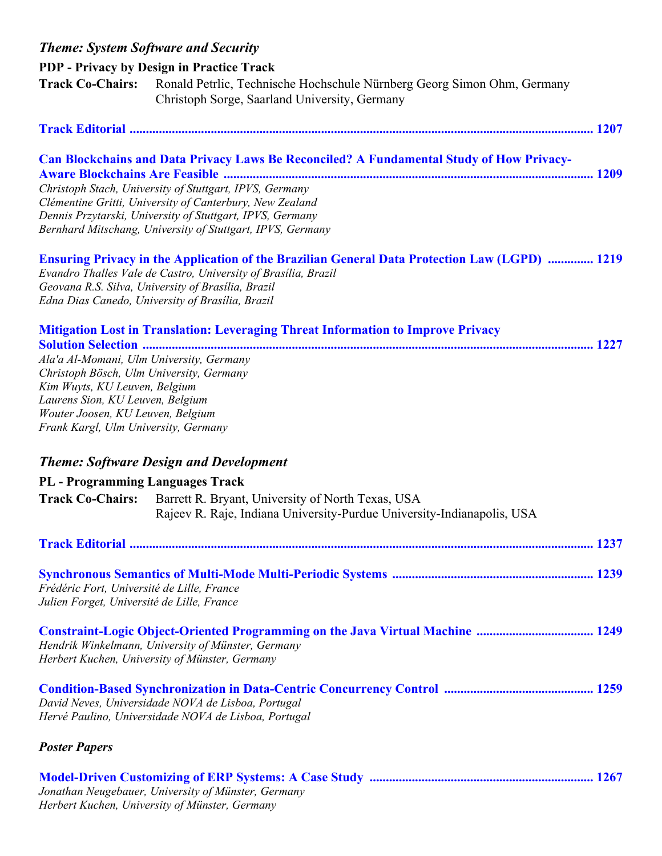| <b>Theme: System Software and Security</b>                                                                                                                                                                                             |                                                                                                                                                                                                                                                                                                                                            |
|----------------------------------------------------------------------------------------------------------------------------------------------------------------------------------------------------------------------------------------|--------------------------------------------------------------------------------------------------------------------------------------------------------------------------------------------------------------------------------------------------------------------------------------------------------------------------------------------|
|                                                                                                                                                                                                                                        | <b>PDP</b> - Privacy by Design in Practice Track                                                                                                                                                                                                                                                                                           |
| <b>Track Co-Chairs:</b>                                                                                                                                                                                                                | Ronald Petrlic, Technische Hochschule Nürnberg Georg Simon Ohm, Germany<br>Christoph Sorge, Saarland University, Germany                                                                                                                                                                                                                   |
|                                                                                                                                                                                                                                        |                                                                                                                                                                                                                                                                                                                                            |
|                                                                                                                                                                                                                                        | Can Blockchains and Data Privacy Laws Be Reconciled? A Fundamental Study of How Privacy-<br>Christoph Stach, University of Stuttgart, IPVS, Germany<br>Clémentine Gritti, University of Canterbury, New Zealand<br>Dennis Przytarski, University of Stuttgart, IPVS, Germany<br>Bernhard Mitschang, University of Stuttgart, IPVS, Germany |
|                                                                                                                                                                                                                                        | <b>Ensuring Privacy in the Application of the Brazilian General Data Protection Law (LGPD)  1219</b><br>Evandro Thalles Vale de Castro, University of Brasilia, Brazil<br>Geovana R.S. Silva, University of Brasilia, Brazil<br>Edna Dias Canedo, University of Brasília, Brazil                                                           |
| Ala'a Al-Momani, Ulm University, Germany<br>Christoph Bösch, Ulm University, Germany<br>Kim Wuyts, KU Leuven, Belgium<br>Laurens Sion, KU Leuven, Belgium<br>Wouter Joosen, KU Leuven, Belgium<br>Frank Kargl, Ulm University, Germany | Mitigation Lost in Translation: Leveraging Threat Information to Improve Privacy                                                                                                                                                                                                                                                           |
|                                                                                                                                                                                                                                        | <b>Theme: Software Design and Development</b>                                                                                                                                                                                                                                                                                              |
| <b>PL</b> - Programming Languages Track                                                                                                                                                                                                |                                                                                                                                                                                                                                                                                                                                            |
| <b>Track Co-Chairs:</b>                                                                                                                                                                                                                | Barrett R. Bryant, University of North Texas, USA<br>Rajeev R. Raje, Indiana University-Purdue University-Indianapolis, USA                                                                                                                                                                                                                |
|                                                                                                                                                                                                                                        |                                                                                                                                                                                                                                                                                                                                            |
| Frédéric Fort, Université de Lille, France<br>Julien Forget, Université de Lille, France                                                                                                                                               |                                                                                                                                                                                                                                                                                                                                            |
|                                                                                                                                                                                                                                        | Hendrik Winkelmann, University of Münster, Germany<br>Herbert Kuchen, University of Münster, Germany                                                                                                                                                                                                                                       |
|                                                                                                                                                                                                                                        | David Neves, Universidade NOVA de Lisboa, Portugal<br>Hervé Paulino, Universidade NOVA de Lisboa, Portugal                                                                                                                                                                                                                                 |
| <b>Poster Papers</b>                                                                                                                                                                                                                   |                                                                                                                                                                                                                                                                                                                                            |
|                                                                                                                                                                                                                                        | Jonathan Neugebauer, University of Münster, Germany                                                                                                                                                                                                                                                                                        |

*Herbert Kuchen, University of Münster, Germany*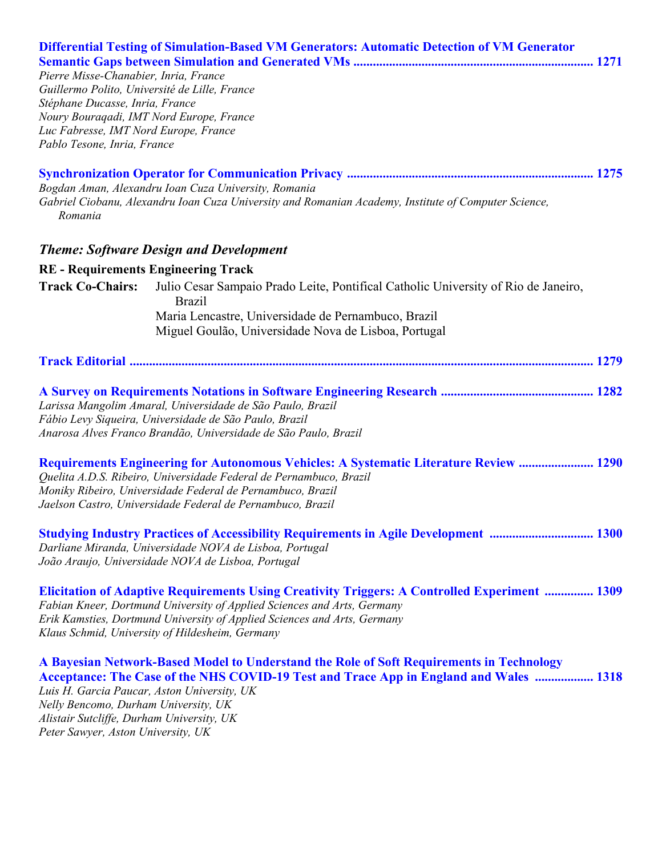| Pierre Misse-Chanabier, Inria, France<br>Guillermo Polito, Université de Lille, France<br>Stéphane Ducasse, Inria, France<br>Noury Bouraqadi, IMT Nord Europe, France<br>Luc Fabresse, IMT Nord Europe, France<br>Pablo Tesone, Inria, France | Differential Testing of Simulation-Based VM Generators: Automatic Detection of VM Generator                                                                                                                                                                                                             |  |
|-----------------------------------------------------------------------------------------------------------------------------------------------------------------------------------------------------------------------------------------------|---------------------------------------------------------------------------------------------------------------------------------------------------------------------------------------------------------------------------------------------------------------------------------------------------------|--|
| Romania                                                                                                                                                                                                                                       | Bogdan Aman, Alexandru Ioan Cuza University, Romania<br>Gabriel Ciobanu, Alexandru Ioan Cuza University and Romanian Academy, Institute of Computer Science,                                                                                                                                            |  |
|                                                                                                                                                                                                                                               | <b>Theme: Software Design and Development</b>                                                                                                                                                                                                                                                           |  |
| <b>RE</b> - Requirements Engineering Track                                                                                                                                                                                                    |                                                                                                                                                                                                                                                                                                         |  |
| <b>Track Co-Chairs:</b>                                                                                                                                                                                                                       | Julio Cesar Sampaio Prado Leite, Pontifical Catholic University of Rio de Janeiro,<br><b>Brazil</b>                                                                                                                                                                                                     |  |
|                                                                                                                                                                                                                                               | Maria Lencastre, Universidade de Pernambuco, Brazil                                                                                                                                                                                                                                                     |  |
|                                                                                                                                                                                                                                               | Miguel Goulão, Universidade Nova de Lisboa, Portugal                                                                                                                                                                                                                                                    |  |
|                                                                                                                                                                                                                                               |                                                                                                                                                                                                                                                                                                         |  |
|                                                                                                                                                                                                                                               | Larissa Mangolim Amaral, Universidade de São Paulo, Brazil<br>Fábio Levy Siqueira, Universidade de São Paulo, Brazil<br>Anarosa Alves Franco Brandão, Universidade de São Paulo, Brazil                                                                                                                 |  |
|                                                                                                                                                                                                                                               | <b>Requirements Engineering for Autonomous Vehicles: A Systematic Literature Review  1290</b><br>Quelita A.D.S. Ribeiro, Universidade Federal de Pernambuco, Brazil<br>Moniky Ribeiro, Universidade Federal de Pernambuco, Brazil<br>Jaelson Castro, Universidade Federal de Pernambuco, Brazil         |  |
|                                                                                                                                                                                                                                               | <b>Studying Industry Practices of Accessibility Requirements in Agile Development  1300</b><br>Darliane Miranda, Universidade NOVA de Lisboa, Portugal<br>João Araujo, Universidade NOVA de Lisboa, Portugal                                                                                            |  |
|                                                                                                                                                                                                                                               | Elicitation of Adaptive Requirements Using Creativity Triggers: A Controlled Experiment  1309<br>Fabian Kneer, Dortmund University of Applied Sciences and Arts, Germany<br>Erik Kamsties, Dortmund University of Applied Sciences and Arts, Germany<br>Klaus Schmid, University of Hildesheim, Germany |  |
| Luis H. Garcia Paucar, Aston University, UK<br>Nelly Bencomo, Durham University, UK<br>Alistair Sutcliffe, Durham University, UK<br>Peter Sawyer, Aston University, UK                                                                        | A Bayesian Network-Based Model to Understand the Role of Soft Requirements in Technology<br>Acceptance: The Case of the NHS COVID-19 Test and Trace App in England and Wales  1318                                                                                                                      |  |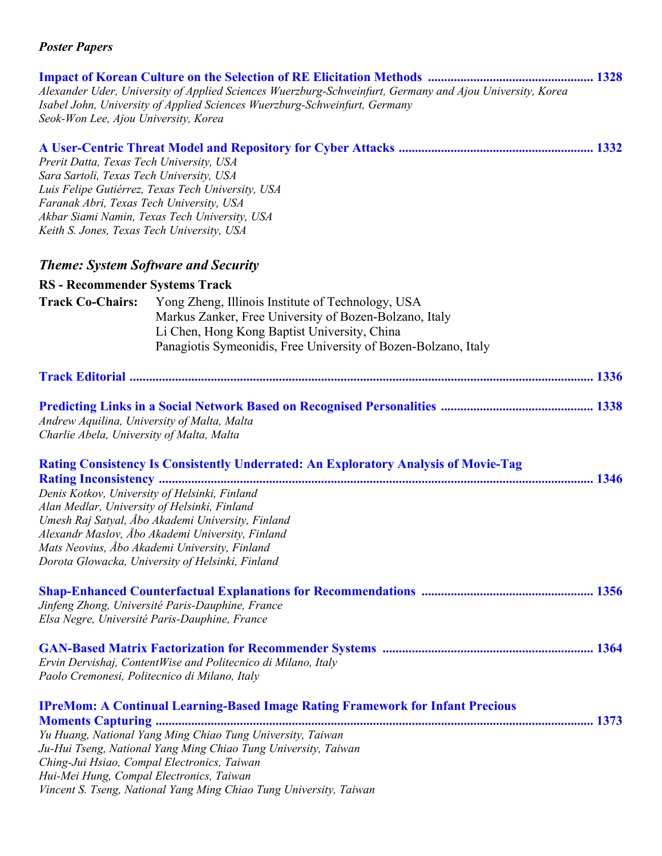| Seok-Won Lee, Ajou University, Korea                                                                                                                                           | Alexander Uder, University of Applied Sciences Wuerzburg-Schweinfurt, Germany and Ajou University, Korea<br>Isabel John, University of Applied Sciences Wuerzburg-Schweinfurt, Germany                                                                      |  |
|--------------------------------------------------------------------------------------------------------------------------------------------------------------------------------|-------------------------------------------------------------------------------------------------------------------------------------------------------------------------------------------------------------------------------------------------------------|--|
| Prerit Datta, Texas Tech University, USA<br>Sara Sartoli, Texas Tech University, USA<br>Faranak Abri, Texas Tech University, USA<br>Keith S. Jones, Texas Tech University, USA | Luis Felipe Gutiérrez, Texas Tech University, USA<br>Akbar Siami Namin, Texas Tech University, USA                                                                                                                                                          |  |
|                                                                                                                                                                                | <b>Theme: System Software and Security</b>                                                                                                                                                                                                                  |  |
| <b>RS - Recommender Systems Track</b>                                                                                                                                          |                                                                                                                                                                                                                                                             |  |
| <b>Track Co-Chairs:</b>                                                                                                                                                        | Yong Zheng, Illinois Institute of Technology, USA<br>Markus Zanker, Free University of Bozen-Bolzano, Italy<br>Li Chen, Hong Kong Baptist University, China<br>Panagiotis Symeonidis, Free University of Bozen-Bolzano, Italy                               |  |
|                                                                                                                                                                                |                                                                                                                                                                                                                                                             |  |
| Andrew Aquilina, University of Malta, Malta<br>Charlie Abela, University of Malta, Malta                                                                                       |                                                                                                                                                                                                                                                             |  |
|                                                                                                                                                                                | <b>Rating Consistency Is Consistently Underrated: An Exploratory Analysis of Movie-Tag</b>                                                                                                                                                                  |  |
| Alan Medlar, University of Helsinki, Finland                                                                                                                                   | Denis Kotkov, University of Helsinki, Finland<br>Umesh Raj Satyal, Åbo Akademi University, Finland<br>Alexandr Maslov, Åbo Akademi University, Finland<br>Mats Neovius, Abo Akademi University, Finland<br>Dorota Glowacka, University of Helsinki, Finland |  |
|                                                                                                                                                                                | Jinfeng Zhong, Université Paris-Dauphine, France<br>Elsa Negre, Université Paris-Dauphine, France                                                                                                                                                           |  |
|                                                                                                                                                                                | Ervin Dervishaj, ContentWise and Politecnico di Milano, Italy<br>Paolo Cremonesi, Politecnico di Milano, Italy                                                                                                                                              |  |
|                                                                                                                                                                                | <b>IPreMom: A Continual Learning-Based Image Rating Framework for Infant Precious</b>                                                                                                                                                                       |  |
| Hui-Mei Hung, Compal Electronics, Taiwan                                                                                                                                       | Yu Huang, National Yang Ming Chiao Tung University, Taiwan<br>Ju-Hui Tseng, National Yang Ming Chiao Tung University, Taiwan<br>Ching-Jui Hsiao, Compal Electronics, Taiwan<br>Vincent S. Tseng, National Yang Ming Chiao Tung University, Taiwan           |  |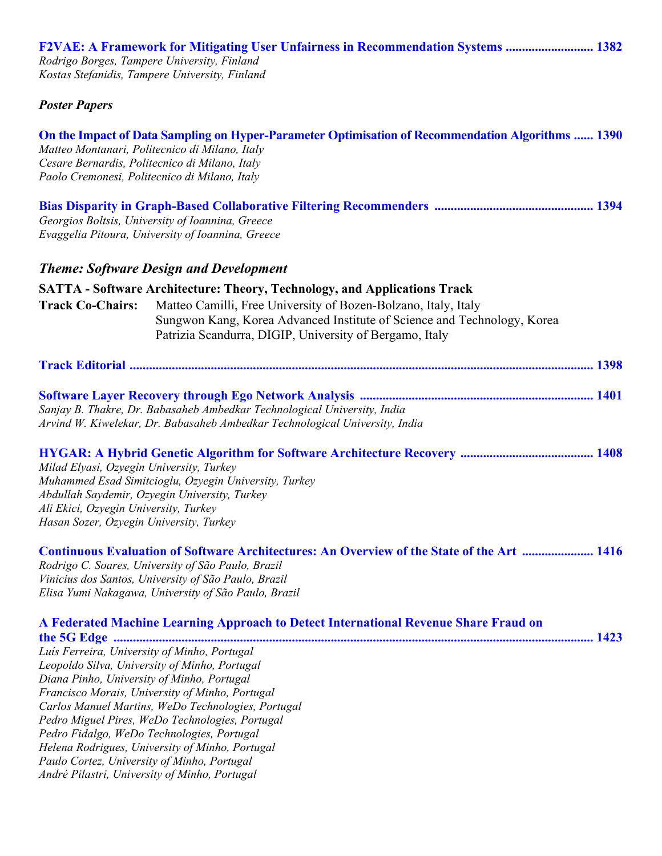| <b>F2VAE: A Framework for Mitigating User Unfairness in Recommendation Systems  1382</b><br>Rodrigo Borges, Tampere University, Finland<br>Kostas Stefanidis, Tampere University, Finland                                                                                                 |                                                                                                                                                                                                                                                                         |  |
|-------------------------------------------------------------------------------------------------------------------------------------------------------------------------------------------------------------------------------------------------------------------------------------------|-------------------------------------------------------------------------------------------------------------------------------------------------------------------------------------------------------------------------------------------------------------------------|--|
| <b>Poster Papers</b>                                                                                                                                                                                                                                                                      |                                                                                                                                                                                                                                                                         |  |
| Cesare Bernardis, Politecnico di Milano, Italy<br>Paolo Cremonesi, Politecnico di Milano, Italy                                                                                                                                                                                           | On the Impact of Data Sampling on Hyper-Parameter Optimisation of Recommendation Algorithms  1390<br>Matteo Montanari, Politecnico di Milano, Italy                                                                                                                     |  |
|                                                                                                                                                                                                                                                                                           | Georgios Boltsis, University of Ioannina, Greece<br>Evaggelia Pitoura, University of Ioannina, Greece                                                                                                                                                                   |  |
|                                                                                                                                                                                                                                                                                           | <b>Theme: Software Design and Development</b>                                                                                                                                                                                                                           |  |
|                                                                                                                                                                                                                                                                                           | <b>SATTA - Software Architecture: Theory, Technology, and Applications Track</b>                                                                                                                                                                                        |  |
| <b>Track Co-Chairs:</b>                                                                                                                                                                                                                                                                   | Matteo Camilli, Free University of Bozen-Bolzano, Italy, Italy<br>Sungwon Kang, Korea Advanced Institute of Science and Technology, Korea<br>Patrizia Scandurra, DIGIP, University of Bergamo, Italy                                                                    |  |
|                                                                                                                                                                                                                                                                                           |                                                                                                                                                                                                                                                                         |  |
|                                                                                                                                                                                                                                                                                           | Sanjay B. Thakre, Dr. Babasaheb Ambedkar Technological University, India<br>Arvind W. Kiwelekar, Dr. Babasaheb Ambedkar Technological University, India                                                                                                                 |  |
| Milad Elyasi, Ozyegin University, Turkey<br>Ali Ekici, Ozyegin University, Turkey<br>Hasan Sozer, Ozyegin University, Turkey                                                                                                                                                              | Muhammed Esad Simitcioglu, Ozyegin University, Turkey<br>Abdullah Saydemir, Ozyegin University, Turkey                                                                                                                                                                  |  |
|                                                                                                                                                                                                                                                                                           | <b>Continuous Evaluation of Software Architectures: An Overview of the State of the Art  1416</b><br>Rodrigo C. Soares, University of São Paulo, Brazil<br>Vinicius dos Santos, University of São Paulo, Brazil<br>Elisa Yumi Nakagawa, University of São Paulo, Brazil |  |
|                                                                                                                                                                                                                                                                                           | A Federated Machine Learning Approach to Detect International Revenue Share Fraud on                                                                                                                                                                                    |  |
| Luís Ferreira, University of Minho, Portugal<br>Leopoldo Silva, University of Minho, Portugal<br>Diana Pinho, University of Minho, Portugal<br>Pedro Fidalgo, WeDo Technologies, Portugal<br>Paulo Cortez, University of Minho, Portugal<br>André Pilastri, University of Minho, Portugal | Francisco Morais, University of Minho, Portugal<br>Carlos Manuel Martins, WeDo Technologies, Portugal<br>Pedro Miguel Pires, WeDo Technologies, Portugal<br>Helena Rodrigues, University of Minho, Portugal                                                             |  |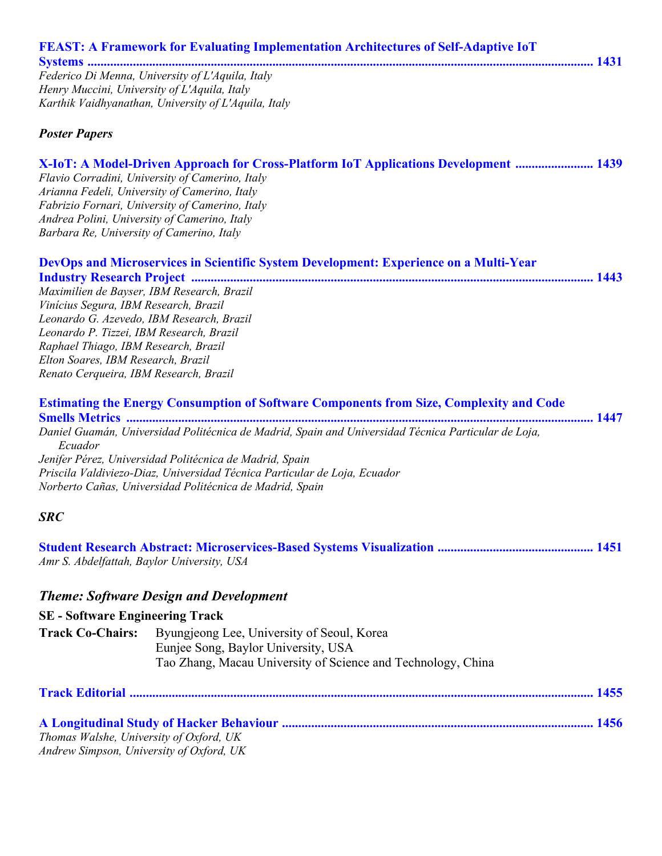| <b>FEAST: A Framework for Evaluating Implementation Architectures of Self-Adaptive IoT</b><br>Federico Di Menna, University of L'Aquila, Italy<br>Henry Muccini, University of L'Aquila, Italy<br>Karthik Vaidhyanathan, University of L'Aquila, Italy |
|--------------------------------------------------------------------------------------------------------------------------------------------------------------------------------------------------------------------------------------------------------|
|                                                                                                                                                                                                                                                        |
|                                                                                                                                                                                                                                                        |
|                                                                                                                                                                                                                                                        |
|                                                                                                                                                                                                                                                        |
|                                                                                                                                                                                                                                                        |
| <b>Poster Papers</b>                                                                                                                                                                                                                                   |
| X-IoT: A Model-Driven Approach for Cross-Platform IoT Applications Development  1439                                                                                                                                                                   |
| Flavio Corradini, University of Camerino, Italy                                                                                                                                                                                                        |
| Arianna Fedeli, University of Camerino, Italy                                                                                                                                                                                                          |
| Fabrizio Fornari, University of Camerino, Italy                                                                                                                                                                                                        |
| Andrea Polini, University of Camerino, Italy                                                                                                                                                                                                           |
| Barbara Re, University of Camerino, Italy                                                                                                                                                                                                              |
| DevOps and Microservices in Scientific System Development: Experience on a Multi-Year                                                                                                                                                                  |
|                                                                                                                                                                                                                                                        |
| Maximilien de Bayser, IBM Research, Brazil                                                                                                                                                                                                             |
| Vinícius Segura, IBM Research, Brazil                                                                                                                                                                                                                  |
| Leonardo G. Azevedo, IBM Research, Brazil                                                                                                                                                                                                              |
| Leonardo P. Tizzei, IBM Research, Brazil                                                                                                                                                                                                               |
| Raphael Thiago, IBM Research, Brazil                                                                                                                                                                                                                   |
| Elton Soares, IBM Research, Brazil                                                                                                                                                                                                                     |
| Renato Cerqueira, IBM Research, Brazil                                                                                                                                                                                                                 |
| <b>Estimating the Energy Consumption of Software Components from Size, Complexity and Code</b>                                                                                                                                                         |
|                                                                                                                                                                                                                                                        |
| Daniel Guamán, Universidad Politécnica de Madrid, Spain and Universidad Técnica Particular de Loja,                                                                                                                                                    |
| Ecuador                                                                                                                                                                                                                                                |

*Jenifer Pérez, Universidad Politécnica de Madrid, Spain Priscila Valdiviezo-Diaz, Universidad Técnica Particular de Loja, Ecuador Norberto Cañas, Universidad Politécnica de Madrid, Spain* 

## *SRC*

| Amr S. Abdelfattah, Baylor University, USA |  |
|--------------------------------------------|--|

## *Theme: Software Design and Development*

## **SE - Software Engineering Track**

| <b>Track Co-Chairs:</b> | Byungjeong Lee, University of Seoul, Korea                   |
|-------------------------|--------------------------------------------------------------|
|                         | Eunjee Song, Baylor University, USA                          |
|                         | Tao Zhang, Macau University of Science and Technology, China |

| Thomas Walshe, University of Oxford, UK  |  |
|------------------------------------------|--|
| Andrew Simpson, University of Oxford, UK |  |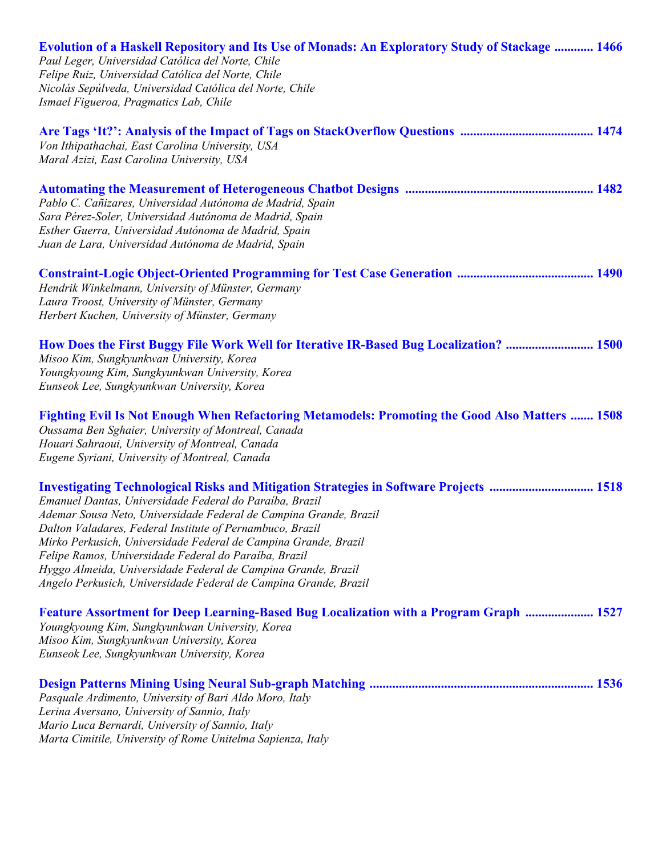| <b>Evolution of a Haskell Repository and Its Use of Monads: An Exploratory Study of Stackage  1466</b><br>Paul Leger, Universidad Católica del Norte, Chile<br>Felipe Ruiz, Universidad Católica del Norte, Chile<br>Nicolás Sepúlveda, Universidad Católica del Norte, Chile<br>Ismael Figueroa, Pragmatics Lab, Chile                                                                                                                                                                                                                                     |
|-------------------------------------------------------------------------------------------------------------------------------------------------------------------------------------------------------------------------------------------------------------------------------------------------------------------------------------------------------------------------------------------------------------------------------------------------------------------------------------------------------------------------------------------------------------|
| Von Ithipathachai, East Carolina University, USA<br>Maral Azizi, East Carolina University, USA                                                                                                                                                                                                                                                                                                                                                                                                                                                              |
| Pablo C. Cañizares, Universidad Autónoma de Madrid, Spain<br>Sara Pérez-Soler, Universidad Autónoma de Madrid, Spain<br>Esther Guerra, Universidad Autónoma de Madrid, Spain<br>Juan de Lara, Universidad Autónoma de Madrid, Spain                                                                                                                                                                                                                                                                                                                         |
| Hendrik Winkelmann, University of Münster, Germany<br>Laura Troost, University of Münster, Germany<br>Herbert Kuchen, University of Münster, Germany                                                                                                                                                                                                                                                                                                                                                                                                        |
| How Does the First Buggy File Work Well for Iterative IR-Based Bug Localization?  1500<br>Misoo Kim, Sungkyunkwan University, Korea<br>Youngkyoung Kim, Sungkyunkwan University, Korea<br>Eunseok Lee, Sungkyunkwan University, Korea                                                                                                                                                                                                                                                                                                                       |
| Fighting Evil Is Not Enough When Refactoring Metamodels: Promoting the Good Also Matters  1508<br>Oussama Ben Sghaier, University of Montreal, Canada<br>Houari Sahraoui, University of Montreal, Canada<br>Eugene Syriani, University of Montreal, Canada                                                                                                                                                                                                                                                                                                  |
| <b>Investigating Technological Risks and Mitigation Strategies in Software Projects  1518</b><br>Emanuel Dantas, Universidade Federal do Paraíba, Brazil<br>Ademar Sousa Neto, Universidade Federal de Campina Grande, Brazil<br>Dalton Valadares, Federal Institute of Pernambuco, Brazil<br>Mirko Perkusich, Universidade Federal de Campina Grande, Brazil<br>Felipe Ramos, Universidade Federal do Paraíba, Brazil<br>Hyggo Almeida, Universidade Federal de Campina Grande, Brazil<br>Angelo Perkusich, Universidade Federal de Campina Grande, Brazil |
| <b>Feature Assortment for Deep Learning-Based Bug Localization with a Program Graph  1527</b><br>Youngkyoung Kim, Sungkyunkwan University, Korea<br>Misoo Kim, Sungkyunkwan University, Korea<br>Eunseok Lee, Sungkyunkwan University, Korea                                                                                                                                                                                                                                                                                                                |
| Pasquale Ardimento, University of Bari Aldo Moro, Italy<br>Lerina Aversano, University of Sannio, Italy<br>Mario Luca Bernardi, University of Sannio, Italy<br>Marta Cimitile, University of Rome Unitelma Sapienza, Italy                                                                                                                                                                                                                                                                                                                                  |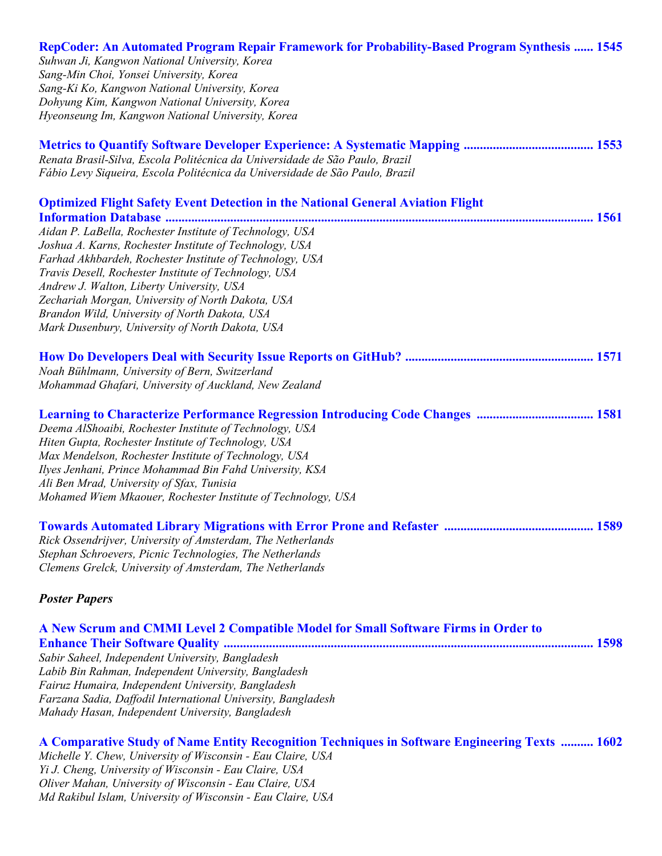| RepCoder: An Automated Program Repair Framework for Probability-Based Program Synthesis  1545<br>Suhwan Ji, Kangwon National University, Korea<br>Sang-Min Choi, Yonsei University, Korea<br>Sang-Ki Ko, Kangwon National University, Korea<br>Dohyung Kim, Kangwon National University, Korea<br>Hyeonseung Im, Kangwon National University, Korea                                                                                                                                                                                                                      |
|--------------------------------------------------------------------------------------------------------------------------------------------------------------------------------------------------------------------------------------------------------------------------------------------------------------------------------------------------------------------------------------------------------------------------------------------------------------------------------------------------------------------------------------------------------------------------|
| Renata Brasil-Silva, Escola Politécnica da Universidade de São Paulo, Brazil<br>Fábio Levy Siqueira, Escola Politécnica da Universidade de São Paulo, Brazil                                                                                                                                                                                                                                                                                                                                                                                                             |
| <b>Optimized Flight Safety Event Detection in the National General Aviation Flight</b><br><b>Information Database </b><br>Aidan P. LaBella, Rochester Institute of Technology, USA<br>Joshua A. Karns, Rochester Institute of Technology, USA<br>Farhad Akhbardeh, Rochester Institute of Technology, USA<br>Travis Desell, Rochester Institute of Technology, USA<br>Andrew J. Walton, Liberty University, USA<br>Zechariah Morgan, University of North Dakota, USA<br>Brandon Wild, University of North Dakota, USA<br>Mark Dusenbury, University of North Dakota, USA |
| Noah Bühlmann, University of Bern, Switzerland<br>Mohammad Ghafari, University of Auckland, New Zealand                                                                                                                                                                                                                                                                                                                                                                                                                                                                  |
| <b>Learning to Characterize Performance Regression Introducing Code Changes  1581</b><br>Deema AlShoaibi, Rochester Institute of Technology, USA<br>Hiten Gupta, Rochester Institute of Technology, USA<br>Max Mendelson, Rochester Institute of Technology, USA<br>Ilyes Jenhani, Prince Mohammad Bin Fahd University, KSA<br>Ali Ben Mrad, University of Sfax, Tunisia<br>Mohamed Wiem Mkaouer, Rochester Institute of Technology, USA                                                                                                                                 |
| Rick Ossendrijver, University of Amsterdam, The Netherlands<br>Stephan Schroevers, Picnic Technologies, The Netherlands<br>Clemens Grelck, University of Amsterdam, The Netherlands                                                                                                                                                                                                                                                                                                                                                                                      |
| <b>Poster Papers</b>                                                                                                                                                                                                                                                                                                                                                                                                                                                                                                                                                     |
| A New Scrum and CMMI Level 2 Compatible Model for Small Software Firms in Order to<br>Sabir Saheel, Independent University, Bangladesh<br>Labib Bin Rahman, Independent University, Bangladesh<br>Fairuz Humaira, Independent University, Bangladesh<br>Farzana Sadia, Daffodil International University, Bangladesh<br>Mahady Hasan, Independent University, Bangladesh                                                                                                                                                                                                 |

**A Comparative Study of Name Entity Recognition Techniques in Software Engineering Texts .......... 1602**  *Michelle Y. Chew, University of Wisconsin - Eau Claire, USA Yi J. Cheng, University of Wisconsin - Eau Claire, USA Oliver Mahan, University of Wisconsin - Eau Claire, USA Md Rakibul Islam, University of Wisconsin - Eau Claire, USA*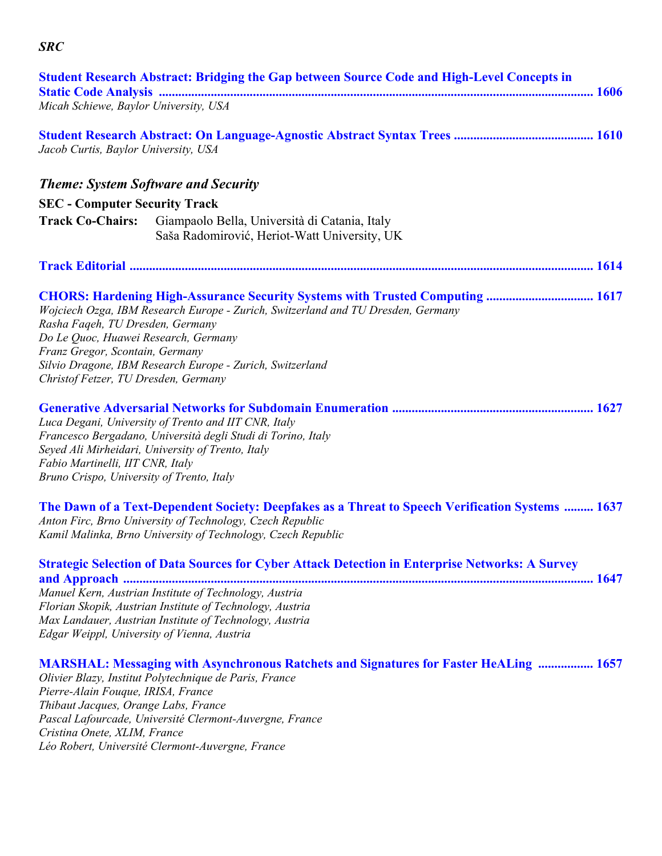|                                                                                                                                                     | <b>Student Research Abstract: Bridging the Gap between Source Code and High-Level Concepts in</b>                                                                                                                                                                                        |
|-----------------------------------------------------------------------------------------------------------------------------------------------------|------------------------------------------------------------------------------------------------------------------------------------------------------------------------------------------------------------------------------------------------------------------------------------------|
| Micah Schiewe, Baylor University, USA                                                                                                               |                                                                                                                                                                                                                                                                                          |
| Jacob Curtis, Baylor University, USA                                                                                                                |                                                                                                                                                                                                                                                                                          |
|                                                                                                                                                     | <b>Theme: System Software and Security</b>                                                                                                                                                                                                                                               |
| <b>SEC</b> - Computer Security Track                                                                                                                |                                                                                                                                                                                                                                                                                          |
|                                                                                                                                                     | Track Co-Chairs: Giampaolo Bella, Università di Catania, Italy<br>Saša Radomirović, Heriot-Watt University, UK                                                                                                                                                                           |
|                                                                                                                                                     |                                                                                                                                                                                                                                                                                          |
| Rasha Faqeh, TU Dresden, Germany<br>Do Le Quoc, Huawei Research, Germany<br>Franz Gregor, Scontain, Germany<br>Christof Fetzer, TU Dresden, Germany | CHORS: Hardening High-Assurance Security Systems with Trusted Computing  1617<br>Wojciech Ozga, IBM Research Europe - Zurich, Switzerland and TU Dresden, Germany<br>Silvio Dragone, IBM Research Europe - Zurich, Switzerland                                                           |
| Fabio Martinelli, IIT CNR, Italy<br>Bruno Crispo, University of Trento, Italy                                                                       | Luca Degani, University of Trento and IIT CNR, Italy<br>Francesco Bergadano, Università degli Studi di Torino, Italy<br>Seyed Ali Mirheidari, University of Trento, Italy                                                                                                                |
|                                                                                                                                                     | The Dawn of a Text-Dependent Society: Deepfakes as a Threat to Speech Verification Systems  1637<br>Anton Firc, Brno University of Technology, Czech Republic<br>Kamil Malinka, Brno University of Technology, Czech Republic                                                            |
| Edgar Weippl, University of Vienna, Austria                                                                                                         | <b>Strategic Selection of Data Sources for Cyber Attack Detection in Enterprise Networks: A Survey</b><br>Manuel Kern, Austrian Institute of Technology, Austria<br>Florian Skopik, Austrian Institute of Technology, Austria<br>Max Landauer, Austrian Institute of Technology, Austria |
| Pierre-Alain Fouque, IRISA, France<br>Thibaut Jacques, Orange Labs, France<br>Cristina Onete, XLIM, France                                          | <b>MARSHAL: Messaging with Asynchronous Ratchets and Signatures for Faster HeALing  1657</b><br>Olivier Blazy, Institut Polytechnique de Paris, France<br>Pascal Lafourcade, Université Clermont-Auvergne, France                                                                        |

*Léo Robert, Université Clermont-Auvergne, France* 

*SRC*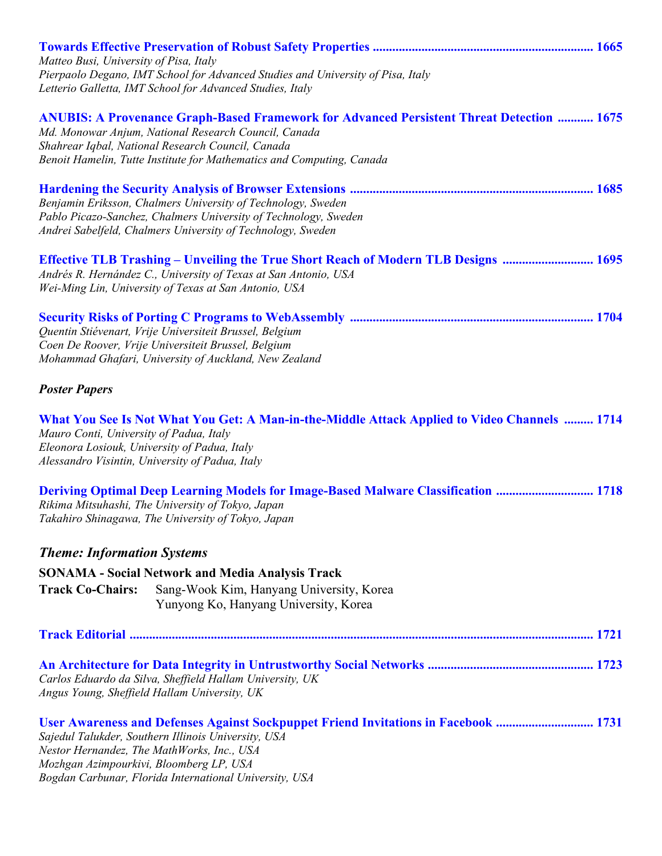| Matteo Busi, University of Pisa, Italy                                                  | Pierpaolo Degano, IMT School for Advanced Studies and University of Pisa, Italy<br>Letterio Galletta, IMT School for Advanced Studies, Italy                                                                                                                                           |
|-----------------------------------------------------------------------------------------|----------------------------------------------------------------------------------------------------------------------------------------------------------------------------------------------------------------------------------------------------------------------------------------|
|                                                                                         | <b>ANUBIS: A Provenance Graph-Based Framework for Advanced Persistent Threat Detection  1675</b><br>Md. Monowar Anjum, National Research Council, Canada<br>Shahrear Iqbal, National Research Council, Canada<br>Benoit Hamelin, Tutte Institute for Mathematics and Computing, Canada |
|                                                                                         | Benjamin Eriksson, Chalmers University of Technology, Sweden<br>Pablo Picazo-Sanchez, Chalmers University of Technology, Sweden<br>Andrei Sabelfeld, Chalmers University of Technology, Sweden                                                                                         |
|                                                                                         | Effective TLB Trashing - Unveiling the True Short Reach of Modern TLB Designs  1695<br>Andrés R. Hernández C., University of Texas at San Antonio, USA<br>Wei-Ming Lin, University of Texas at San Antonio, USA                                                                        |
|                                                                                         | Quentin Stiévenart, Vrije Universiteit Brussel, Belgium<br>Coen De Roover, Vrije Universiteit Brussel, Belgium<br>Mohammad Ghafari, University of Auckland, New Zealand                                                                                                                |
| <b>Poster Papers</b>                                                                    |                                                                                                                                                                                                                                                                                        |
| Mauro Conti, University of Padua, Italy<br>Eleonora Losiouk, University of Padua, Italy | What You See Is Not What You Get: A Man-in-the-Middle Attack Applied to Video Channels  1714<br>Alessandro Visintin, University of Padua, Italy                                                                                                                                        |
|                                                                                         | <b>Deriving Optimal Deep Learning Models for Image-Based Malware Classification  1718</b><br>Rikima Mitsuhashi, The University of Tokyo, Japan<br>Takahiro Shinagawa, The University of Tokyo, Japan                                                                                   |
| <b>Theme: Information Systems</b>                                                       |                                                                                                                                                                                                                                                                                        |
|                                                                                         | <b>SONAMA - Social Network and Media Analysis Track</b>                                                                                                                                                                                                                                |
| <b>Track Co-Chairs:</b>                                                                 | Sang-Wook Kim, Hanyang University, Korea<br>Yunyong Ko, Hanyang University, Korea                                                                                                                                                                                                      |
|                                                                                         |                                                                                                                                                                                                                                                                                        |
|                                                                                         | Carlos Eduardo da Silva, Sheffield Hallam University, UK<br>Angus Young, Sheffield Hallam University, UK                                                                                                                                                                               |
| Mozhgan Azimpourkivi, Bloomberg LP, USA                                                 | User Awareness and Defenses Against Sockpuppet Friend Invitations in Facebook  1731<br>Sajedul Talukder, Southern Illinois University, USA<br>Nestor Hernandez, The MathWorks, Inc., USA<br>Bogdan Carbunar, Florida International University, USA                                     |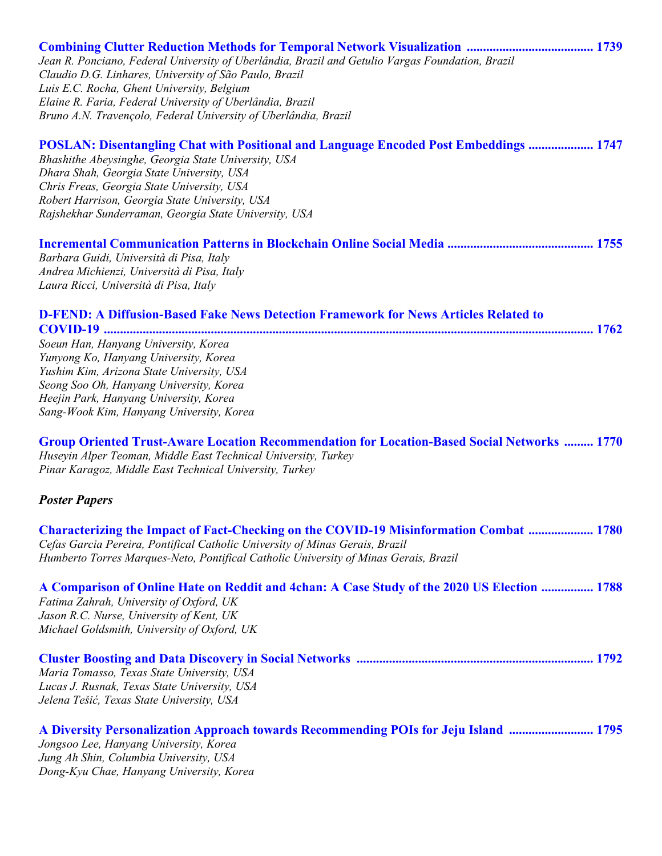| Jean R. Ponciano, Federal University of Uberlândia, Brazil and Getulio Vargas Foundation, Brazil                                                                                                                         |  |
|--------------------------------------------------------------------------------------------------------------------------------------------------------------------------------------------------------------------------|--|
| Claudio D.G. Linhares, University of São Paulo, Brazil<br>Luis E.C. Rocha, Ghent University, Belgium                                                                                                                     |  |
| Elaine R. Faria, Federal University of Uberlândia, Brazil                                                                                                                                                                |  |
| Bruno A.N. Travençolo, Federal University of Uberlândia, Brazil                                                                                                                                                          |  |
| POSLAN: Disentangling Chat with Positional and Language Encoded Post Embeddings  1747                                                                                                                                    |  |
| Bhashithe Abeysinghe, Georgia State University, USA                                                                                                                                                                      |  |
| Dhara Shah, Georgia State University, USA                                                                                                                                                                                |  |
| Chris Freas, Georgia State University, USA                                                                                                                                                                               |  |
| Robert Harrison, Georgia State University, USA                                                                                                                                                                           |  |
| Rajshekhar Sunderraman, Georgia State University, USA                                                                                                                                                                    |  |
|                                                                                                                                                                                                                          |  |
| Barbara Guidi, Università di Pisa, Italy                                                                                                                                                                                 |  |
| Andrea Michienzi, Università di Pisa, Italy                                                                                                                                                                              |  |
| Laura Ricci, Università di Pisa, Italy                                                                                                                                                                                   |  |
| <b>D-FEND: A Diffusion-Based Fake News Detection Framework for News Articles Related to</b>                                                                                                                              |  |
|                                                                                                                                                                                                                          |  |
| Soeun Han, Hanyang University, Korea                                                                                                                                                                                     |  |
| Yunyong Ko, Hanyang University, Korea                                                                                                                                                                                    |  |
| Yushim Kim, Arizona State University, USA                                                                                                                                                                                |  |
| Seong Soo Oh, Hanyang University, Korea                                                                                                                                                                                  |  |
| Heejin Park, Hanyang University, Korea                                                                                                                                                                                   |  |
| Sang-Wook Kim, Hanyang University, Korea                                                                                                                                                                                 |  |
| Group Oriented Trust-Aware Location Recommendation for Location-Based Social Networks  1770<br>Huseyin Alper Teoman, Middle East Technical University, Turkey<br>Pinar Karagoz, Middle East Technical University, Turkey |  |
| <b>Poster Papers</b>                                                                                                                                                                                                     |  |
|                                                                                                                                                                                                                          |  |
| <b>Characterizing the Impact of Fact-Checking on the COVID-19 Misinformation Combat  1780</b>                                                                                                                            |  |
| Cefas Garcia Pereira, Pontifical Catholic University of Minas Gerais, Brazil                                                                                                                                             |  |
| Humberto Torres Marques-Neto, Pontifical Catholic University of Minas Gerais, Brazil                                                                                                                                     |  |
| A Comparison of Online Hate on Reddit and 4chan: A Case Study of the 2020 US Election  1788                                                                                                                              |  |
| Fatima Zahrah, University of Oxford, UK                                                                                                                                                                                  |  |
| Jason R.C. Nurse, University of Kent, UK                                                                                                                                                                                 |  |
| Michael Goldsmith, University of Oxford, UK                                                                                                                                                                              |  |
|                                                                                                                                                                                                                          |  |
| Maria Tomasso, Texas State University, USA                                                                                                                                                                               |  |
| Lucas J. Rusnak, Texas State University, USA                                                                                                                                                                             |  |
| Jelena Tešić, Texas State University, USA                                                                                                                                                                                |  |
| A Diversity Personalization Approach towards Recommending POIs for Jeju Island  1795                                                                                                                                     |  |
| Jongsoo Lee, Hanyang University, Korea                                                                                                                                                                                   |  |
| Jung Ah Shin, Columbia University, USA                                                                                                                                                                                   |  |
| Dong-Kyu Chae, Hanyang University, Korea                                                                                                                                                                                 |  |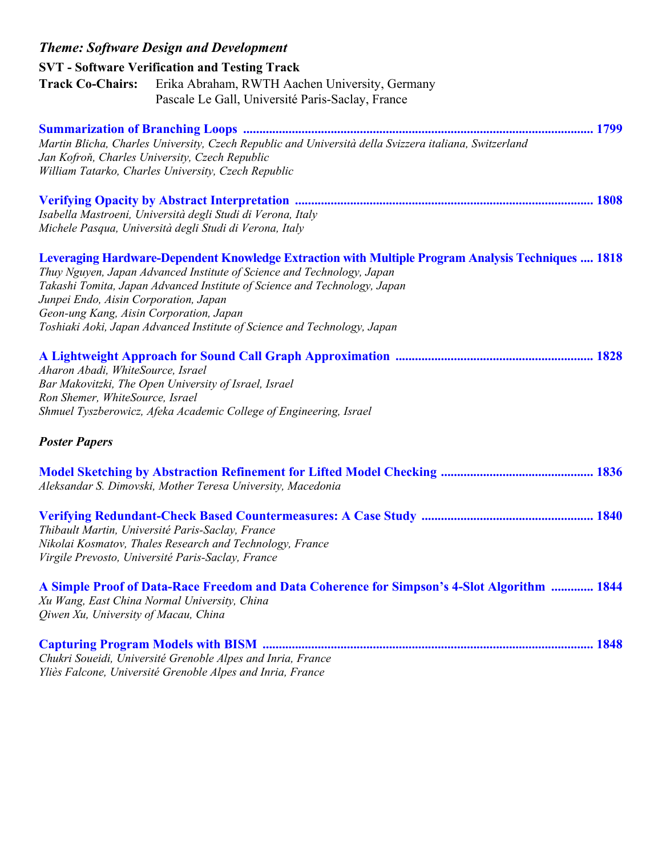| <b>Theme: Software Design and Development</b>                                                                                                                                                                                                                                                                                                                                                                                    |
|----------------------------------------------------------------------------------------------------------------------------------------------------------------------------------------------------------------------------------------------------------------------------------------------------------------------------------------------------------------------------------------------------------------------------------|
| <b>SVT</b> - Software Verification and Testing Track                                                                                                                                                                                                                                                                                                                                                                             |
| <b>Track Co-Chairs:</b><br>Erika Abraham, RWTH Aachen University, Germany<br>Pascale Le Gall, Université Paris-Saclay, France                                                                                                                                                                                                                                                                                                    |
| Martin Blicha, Charles University, Czech Republic and Università della Svizzera italiana, Switzerland<br>Jan Kofroň, Charles University, Czech Republic<br>William Tatarko, Charles University, Czech Republic                                                                                                                                                                                                                   |
| Isabella Mastroeni, Università degli Studi di Verona, Italy<br>Michele Pasqua, Università degli Studi di Verona, Italy                                                                                                                                                                                                                                                                                                           |
| <b>Leveraging Hardware-Dependent Knowledge Extraction with Multiple Program Analysis Techniques  1818</b><br>Thuy Nguyen, Japan Advanced Institute of Science and Technology, Japan<br>Takashi Tomita, Japan Advanced Institute of Science and Technology, Japan<br>Junpei Endo, Aisin Corporation, Japan<br>Geon-ung Kang, Aisin Corporation, Japan<br>Toshiaki Aoki, Japan Advanced Institute of Science and Technology, Japan |
| Aharon Abadi, WhiteSource, Israel<br>Bar Makovitzki, The Open University of Israel, Israel<br>Ron Shemer, WhiteSource, Israel<br>Shmuel Tyszberowicz, Afeka Academic College of Engineering, Israel                                                                                                                                                                                                                              |
| <b>Poster Papers</b>                                                                                                                                                                                                                                                                                                                                                                                                             |
| Aleksandar S. Dimovski, Mother Teresa University, Macedonia                                                                                                                                                                                                                                                                                                                                                                      |
| Thibault Martin, Université Paris-Saclay, France<br>Nikolai Kosmatov, Thales Research and Technology, France<br>Virgile Prevosto, Université Paris-Saclay, France                                                                                                                                                                                                                                                                |
| A Simple Proof of Data-Race Freedom and Data Coherence for Simpson's 4-Slot Algorithm  1844<br>Xu Wang, East China Normal University, China<br>Qiwen Xu, University of Macau, China                                                                                                                                                                                                                                              |
| Chukri Soueidi, Université Grenoble Alpes and Inria, France<br>Yliès Falcone, Université Grenoble Alpes and Inria, France                                                                                                                                                                                                                                                                                                        |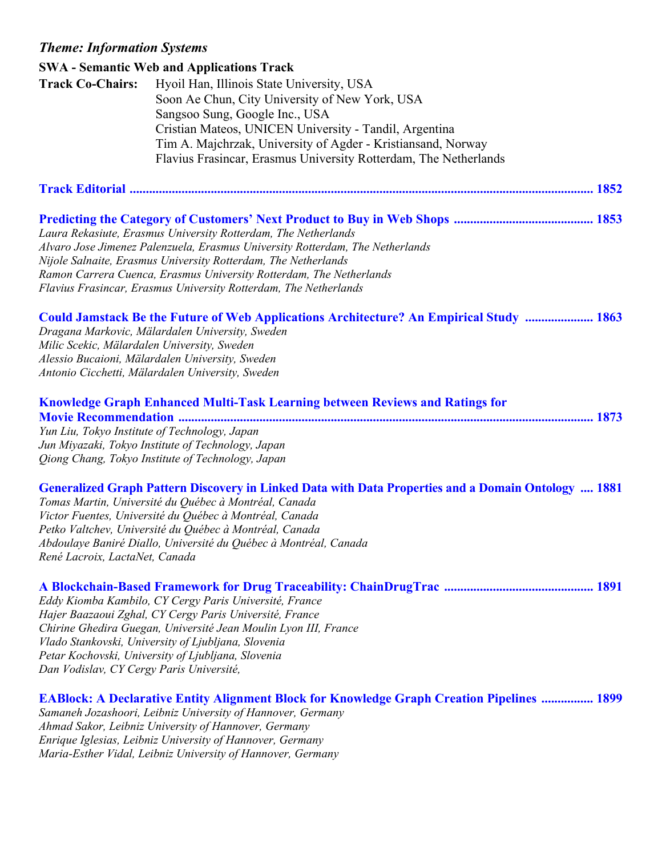## *Theme: Information Systems*

|                                                  | <b>SWA - Semantic Web and Applications Track</b>                                                           |
|--------------------------------------------------|------------------------------------------------------------------------------------------------------------|
| <b>Track Co-Chairs:</b>                          | Hyoil Han, Illinois State University, USA                                                                  |
|                                                  | Soon Ae Chun, City University of New York, USA                                                             |
|                                                  | Sangsoo Sung, Google Inc., USA                                                                             |
|                                                  | Cristian Mateos, UNICEN University - Tandil, Argentina                                                     |
|                                                  | Tim A. Majchrzak, University of Agder - Kristiansand, Norway                                               |
|                                                  | Flavius Frasincar, Erasmus University Rotterdam, The Netherlands                                           |
|                                                  |                                                                                                            |
|                                                  |                                                                                                            |
|                                                  |                                                                                                            |
|                                                  |                                                                                                            |
|                                                  | Laura Rekasiute, Erasmus University Rotterdam, The Netherlands                                             |
|                                                  | Alvaro Jose Jimenez Palenzuela, Erasmus University Rotterdam, The Netherlands                              |
|                                                  | Nijole Salnaite, Erasmus University Rotterdam, The Netherlands                                             |
|                                                  | Ramon Carrera Cuenca, Erasmus University Rotterdam, The Netherlands                                        |
|                                                  | Flavius Frasincar, Erasmus University Rotterdam, The Netherlands                                           |
|                                                  | Could Jamstack Be the Future of Web Applications Architecture? An Empirical Study  1863                    |
|                                                  | Dragana Markovic, Mälardalen University, Sweden                                                            |
| Milic Scekic, Mälardalen University, Sweden      |                                                                                                            |
| Alessio Bucaioni, Mälardalen University, Sweden  |                                                                                                            |
| Antonio Cicchetti, Mälardalen University, Sweden |                                                                                                            |
|                                                  |                                                                                                            |
|                                                  | <b>Knowledge Graph Enhanced Multi-Task Learning between Reviews and Ratings for</b>                        |
|                                                  |                                                                                                            |
| Yun Liu, Tokyo Institute of Technology, Japan    |                                                                                                            |
|                                                  | Jun Miyazaki, Tokyo Institute of Technology, Japan                                                         |
|                                                  | Qiong Chang, Tokyo Institute of Technology, Japan                                                          |
|                                                  |                                                                                                            |
|                                                  | <b>Generalized Graph Pattern Discovery in Linked Data with Data Properties and a Domain Ontology  1881</b> |
|                                                  | Tomas Martin, Université du Québec à Montréal, Canada                                                      |
|                                                  | Victor Fuentes, Université du Québec à Montréal, Canada                                                    |
|                                                  | Petko Valtchev, Université du Québec à Montréal, Canada                                                    |
|                                                  | Abdoulaye Baniré Diallo, Université du Québec à Montréal, Canada                                           |
| René Lacroix, LactaNet, Canada                   |                                                                                                            |
|                                                  |                                                                                                            |
|                                                  |                                                                                                            |
|                                                  | Eddy Kiomba Kambilo, CY Cergy Paris Université, France                                                     |
|                                                  | Hajer Baazaoui Zghal, CY Cergy Paris Université, France                                                    |
|                                                  | Chirine Ghedira Guegan, Université Jean Moulin Lyon III, France                                            |
|                                                  | Vlado Stankovski, University of Ljubljana, Slovenia                                                        |
|                                                  | Petar Kochovski, University of Ljubljana, Slovenia                                                         |
| Dan Vodislav, CY Cergy Paris Université,         |                                                                                                            |
|                                                  | <b>EABlock: A Declarative Entity Alignment Block for Knowledge Graph Creation Pipelines  1899</b>          |

*Samaneh Jozashoori, Leibniz University of Hannover, Germany Ahmad Sakor, Leibniz University of Hannover, Germany Enrique Iglesias, Leibniz University of Hannover, Germany Maria-Esther Vidal, Leibniz University of Hannover, Germany*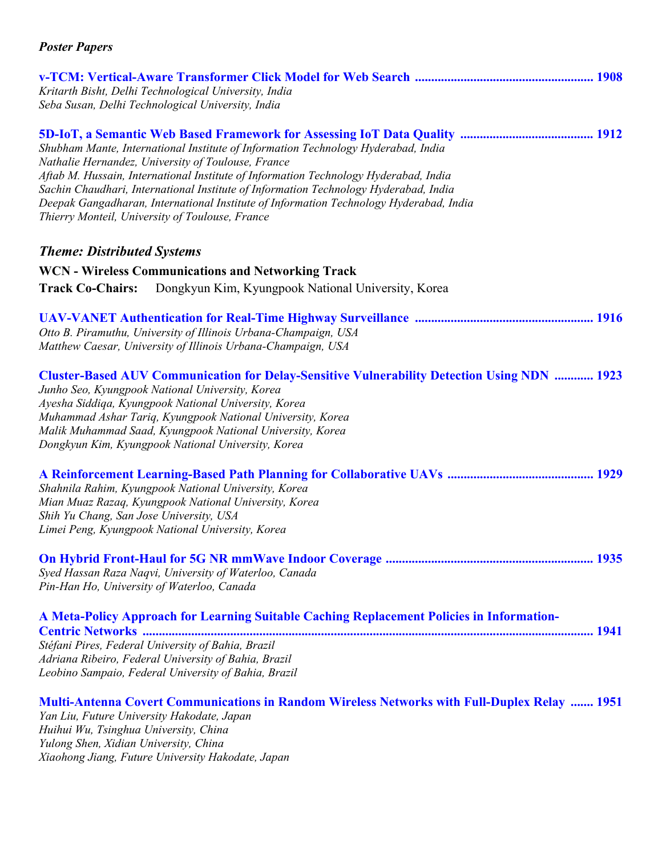| Kritarth Bisht, Delhi Technological University, India<br>Seba Susan, Delhi Technological University, India                                                                                                                                                                                                                                                                                                                                                           |
|----------------------------------------------------------------------------------------------------------------------------------------------------------------------------------------------------------------------------------------------------------------------------------------------------------------------------------------------------------------------------------------------------------------------------------------------------------------------|
| Shubham Mante, International Institute of Information Technology Hyderabad, India<br>Nathalie Hernandez, University of Toulouse, France<br>Aftab M. Hussain, International Institute of Information Technology Hyderabad, India<br>Sachin Chaudhari, International Institute of Information Technology Hyderabad, India<br>Deepak Gangadharan, International Institute of Information Technology Hyderabad, India<br>Thierry Monteil, University of Toulouse, France |
| <b>Theme: Distributed Systems</b>                                                                                                                                                                                                                                                                                                                                                                                                                                    |
| <b>WCN - Wireless Communications and Networking Track</b>                                                                                                                                                                                                                                                                                                                                                                                                            |
| Dongkyun Kim, Kyungpook National University, Korea<br><b>Track Co-Chairs:</b>                                                                                                                                                                                                                                                                                                                                                                                        |
| Otto B. Piramuthu, University of Illinois Urbana-Champaign, USA<br>Matthew Caesar, University of Illinois Urbana-Champaign, USA                                                                                                                                                                                                                                                                                                                                      |
| <b>Cluster-Based AUV Communication for Delay-Sensitive Vulnerability Detection Using NDN  1923</b><br>Junho Seo, Kyungpook National University, Korea<br>Ayesha Siddiqa, Kyungpook National University, Korea<br>Muhammad Ashar Tariq, Kyungpook National University, Korea<br>Malik Muhammad Saad, Kyungpook National University, Korea<br>Dongkyun Kim, Kyungpook National University, Korea                                                                       |
| Shahnila Rahim, Kyungpook National University, Korea<br>Mian Muaz Razaq, Kyungpook National University, Korea<br>Shih Yu Chang, San Jose University, USA<br>Limei Peng, Kyungpook National University, Korea                                                                                                                                                                                                                                                         |
| Syed Hassan Raza Naqvi, University of Waterloo, Canada<br>Pin-Han Ho, University of Waterloo, Canada                                                                                                                                                                                                                                                                                                                                                                 |
| A Meta-Policy Approach for Learning Suitable Caching Replacement Policies in Information-<br>Stéfani Pires, Federal University of Bahia, Brazil<br>Adriana Ribeiro, Federal University of Bahia, Brazil<br>Leobino Sampaio, Federal University of Bahia, Brazil                                                                                                                                                                                                      |
| <b>Multi-Antenna Covert Communications in Random Wireless Networks with Full-Duplex Relay  1951</b><br>Yan Liu, Future University Hakodate, Japan<br>Huihui Wu, Tsinghua University, China<br>Yulong Shen, Xidian University, China                                                                                                                                                                                                                                  |

*Xiaohong Jiang, Future University Hakodate, Japan*